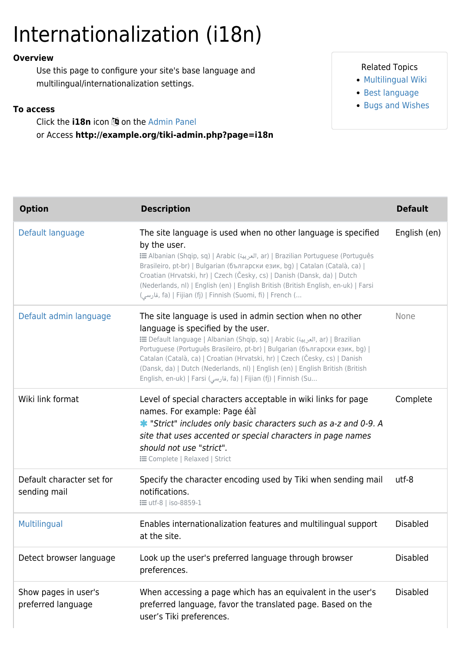# Internationalization (i18n)

### **Overview**

Use this page to configure your site's base language and multilingual/internationalization settings.

#### **To access**

Click the **i18n** icon **3** on the [Admin Panel](https://doc.tiki.org/Admin-Panels) or Access **http://example.org/tiki-admin.php?page=i18n**

## Related Topics

- [Multilingual Wiki](https://doc.tiki.org/Multilingual-Wiki)
- [Best language](https://doc.tiki.org/Best-language)
- [Bugs and Wishes](http://dev.tiki.org/Administration)

| <b>Option</b>                              | <b>Description</b>                                                                                                                                                                                                                                                                                                                                                                                                                                                                                | <b>Default</b>  |
|--------------------------------------------|---------------------------------------------------------------------------------------------------------------------------------------------------------------------------------------------------------------------------------------------------------------------------------------------------------------------------------------------------------------------------------------------------------------------------------------------------------------------------------------------------|-----------------|
| Default language                           | The site language is used when no other language is specified<br>by the user.<br>E Albanian (Shqip, sq)   Arabic (العربية, ar)   Brazilian Portuguese (Português<br>Brasileiro, pt-br)   Bulgarian (български език, bg)   Catalan (Català, ca)  <br>Croatian (Hrvatski, hr)   Czech (Česky, cs)   Danish (Dansk, da)   Dutch<br>(Nederlands, nl)   English (en)   English British (British English, en-uk)   Farsi<br>(قارسی, fa)   Fijian (fj)   Finnish (Suomi, fi)   French (                  | English (en)    |
| Default admin language                     | The site language is used in admin section when no other<br>language is specified by the user.<br>i Default language   Albanian (Shqip, sq)   Arabic (العربية, ar)   Brazilian<br>Portuguese (Português Brasileiro, pt-br)   Bulgarian (български език, bg)  <br>Catalan (Català, ca)   Croatian (Hrvatski, hr)   Czech (Česky, cs)   Danish<br>(Dansk, da)   Dutch (Nederlands, nl)   English (en)   English British (British<br>English, en-uk)   Farsi (فارسی, fa)   Fijian (fj)   Finnish (Su | None            |
| Wiki link format                           | Level of special characters acceptable in wiki links for page<br>names. For example: Page éàî<br>* "Strict" includes only basic characters such as a-z and 0-9. A<br>site that uses accented or special characters in page names<br>should not use "strict".<br><b>E</b> Complete   Relaxed   Strict                                                                                                                                                                                              | Complete        |
| Default character set for<br>sending mail  | Specify the character encoding used by Tiki when sending mail<br>notifications.<br><b>i</b> utf-8   iso-8859-1                                                                                                                                                                                                                                                                                                                                                                                    | utf-8           |
| Multilingual                               | Enables internationalization features and multilingual support<br>at the site.                                                                                                                                                                                                                                                                                                                                                                                                                    | <b>Disabled</b> |
| Detect browser language                    | Look up the user's preferred language through browser<br>preferences.                                                                                                                                                                                                                                                                                                                                                                                                                             | <b>Disabled</b> |
| Show pages in user's<br>preferred language | When accessing a page which has an equivalent in the user's<br>preferred language, favor the translated page. Based on the<br>user's Tiki preferences.                                                                                                                                                                                                                                                                                                                                            | <b>Disabled</b> |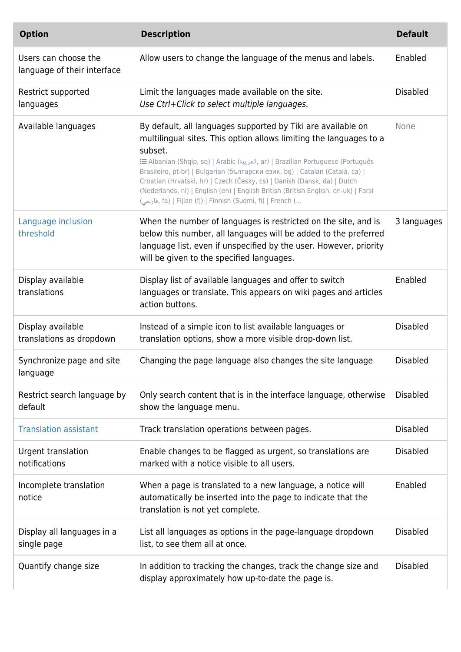| <b>Option</b>                                       | <b>Description</b>                                                                                                                                                                                                                                                                                                                                                                                                                                                                                                                                | <b>Default</b>  |
|-----------------------------------------------------|---------------------------------------------------------------------------------------------------------------------------------------------------------------------------------------------------------------------------------------------------------------------------------------------------------------------------------------------------------------------------------------------------------------------------------------------------------------------------------------------------------------------------------------------------|-----------------|
| Users can choose the<br>language of their interface | Allow users to change the language of the menus and labels.                                                                                                                                                                                                                                                                                                                                                                                                                                                                                       | Enabled         |
| Restrict supported<br>languages                     | Limit the languages made available on the site.<br>Use Ctrl+Click to select multiple languages.                                                                                                                                                                                                                                                                                                                                                                                                                                                   | <b>Disabled</b> |
| Available languages                                 | By default, all languages supported by Tiki are available on<br>multilingual sites. This option allows limiting the languages to a<br>subset.<br>imazilian Portuguese (Português (العربية, ar)   Brazilian Portuguese (Português<br>Brasileiro, pt-br)   Bulgarian (български език, bg)   Catalan (Català, ca)  <br>Croatian (Hrvatski, hr)   Czech (Česky, cs)   Danish (Dansk, da)   Dutch<br>(Nederlands, nl)   English (en)   English British (British English, en-uk)   Farsi<br>, فارسی) fa)   Fijian (fj)   Finnish (Suomi, fi)   French ( | None            |
| Language inclusion<br>threshold                     | When the number of languages is restricted on the site, and is<br>below this number, all languages will be added to the preferred<br>language list, even if unspecified by the user. However, priority<br>will be given to the specified languages.                                                                                                                                                                                                                                                                                               | 3 languages     |
| Display available<br>translations                   | Display list of available languages and offer to switch<br>languages or translate. This appears on wiki pages and articles<br>action buttons.                                                                                                                                                                                                                                                                                                                                                                                                     | Enabled         |
| Display available<br>translations as dropdown       | Instead of a simple icon to list available languages or<br>translation options, show a more visible drop-down list.                                                                                                                                                                                                                                                                                                                                                                                                                               | <b>Disabled</b> |
| Synchronize page and site<br>language               | Changing the page language also changes the site language                                                                                                                                                                                                                                                                                                                                                                                                                                                                                         | <b>Disabled</b> |
| Restrict search language by<br>default              | Only search content that is in the interface language, otherwise<br>show the language menu.                                                                                                                                                                                                                                                                                                                                                                                                                                                       | <b>Disabled</b> |
| <b>Translation assistant</b>                        | Track translation operations between pages.                                                                                                                                                                                                                                                                                                                                                                                                                                                                                                       | <b>Disabled</b> |
| Urgent translation<br>notifications                 | Enable changes to be flagged as urgent, so translations are<br>marked with a notice visible to all users.                                                                                                                                                                                                                                                                                                                                                                                                                                         | <b>Disabled</b> |
| Incomplete translation<br>notice                    | When a page is translated to a new language, a notice will<br>automatically be inserted into the page to indicate that the<br>translation is not yet complete.                                                                                                                                                                                                                                                                                                                                                                                    | Enabled         |
| Display all languages in a<br>single page           | List all languages as options in the page-language dropdown<br>list, to see them all at once.                                                                                                                                                                                                                                                                                                                                                                                                                                                     | <b>Disabled</b> |
| Quantify change size                                | In addition to tracking the changes, track the change size and<br>display approximately how up-to-date the page is.                                                                                                                                                                                                                                                                                                                                                                                                                               | <b>Disabled</b> |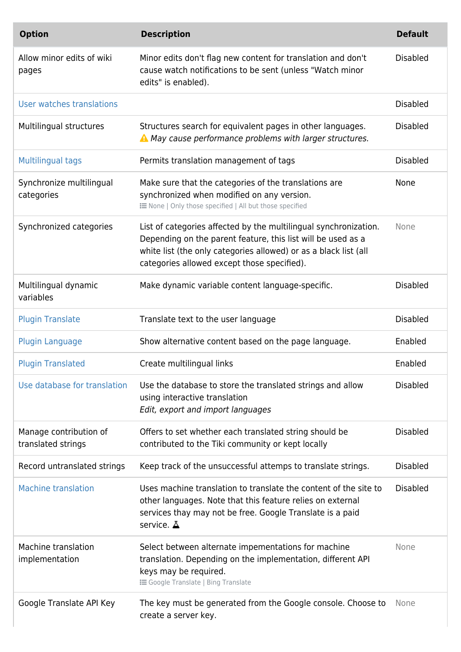| <b>Option</b>                                | <b>Description</b>                                                                                                                                                                                                                                  | <b>Default</b>  |
|----------------------------------------------|-----------------------------------------------------------------------------------------------------------------------------------------------------------------------------------------------------------------------------------------------------|-----------------|
| Allow minor edits of wiki<br>pages           | Minor edits don't flag new content for translation and don't<br>cause watch notifications to be sent (unless "Watch minor<br>edits" is enabled).                                                                                                    | <b>Disabled</b> |
| User watches translations                    |                                                                                                                                                                                                                                                     | <b>Disabled</b> |
| Multilingual structures                      | Structures search for equivalent pages in other languages.<br>A May cause performance problems with larger structures.                                                                                                                              | <b>Disabled</b> |
| <b>Multilingual tags</b>                     | Permits translation management of tags                                                                                                                                                                                                              | <b>Disabled</b> |
| Synchronize multilingual<br>categories       | Make sure that the categories of the translations are<br>synchronized when modified on any version.<br>: ENone   Only those specified   All but those specified                                                                                     | None            |
| Synchronized categories                      | List of categories affected by the multilingual synchronization.<br>Depending on the parent feature, this list will be used as a<br>white list (the only categories allowed) or as a black list (all<br>categories allowed except those specified). | None            |
| Multilingual dynamic<br>variables            | Make dynamic variable content language-specific.                                                                                                                                                                                                    | <b>Disabled</b> |
| <b>Plugin Translate</b>                      | Translate text to the user language                                                                                                                                                                                                                 | <b>Disabled</b> |
| <b>Plugin Language</b>                       | Show alternative content based on the page language.                                                                                                                                                                                                | Enabled         |
| <b>Plugin Translated</b>                     | Create multilingual links                                                                                                                                                                                                                           | Enabled         |
| Use database for translation                 | Use the database to store the translated strings and allow<br>using interactive translation<br>Edit, export and import languages                                                                                                                    | <b>Disabled</b> |
| Manage contribution of<br>translated strings | Offers to set whether each translated string should be<br>contributed to the Tiki community or kept locally                                                                                                                                         | <b>Disabled</b> |
| Record untranslated strings                  | Keep track of the unsuccessful attemps to translate strings.                                                                                                                                                                                        | <b>Disabled</b> |
| <b>Machine translation</b>                   | Uses machine translation to translate the content of the site to<br>other languages. Note that this feature relies on external<br>services thay may not be free. Google Translate is a paid<br>service. $\Delta$                                    | <b>Disabled</b> |
| Machine translation<br>implementation        | Select between alternate impementations for machine<br>translation. Depending on the implementation, different API<br>keys may be required.<br><b>i</b> Google Translate   Bing Translate                                                           | None            |
| Google Translate API Key                     | The key must be generated from the Google console. Choose to<br>create a server key.                                                                                                                                                                | None            |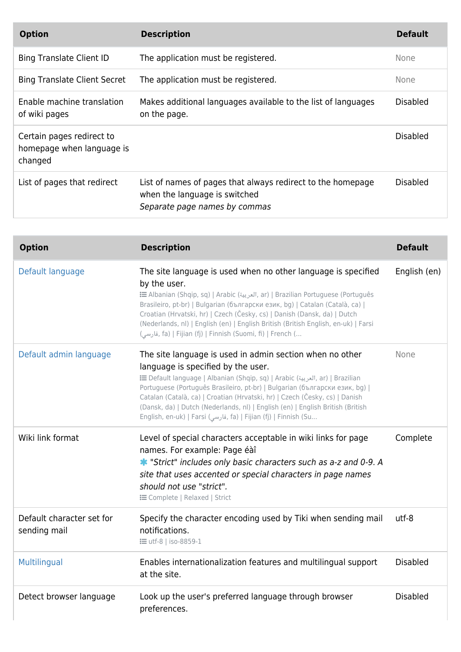| <b>Option</b>                                                     | <b>Description</b>                                                                                                            | <b>Default</b>  |
|-------------------------------------------------------------------|-------------------------------------------------------------------------------------------------------------------------------|-----------------|
| <b>Bing Translate Client ID</b>                                   | The application must be registered.                                                                                           | None            |
| <b>Bing Translate Client Secret</b>                               | The application must be registered.                                                                                           | None            |
| Enable machine translation<br>of wiki pages                       | Makes additional languages available to the list of languages<br>on the page.                                                 | <b>Disabled</b> |
| Certain pages redirect to<br>homepage when language is<br>changed |                                                                                                                               | <b>Disabled</b> |
| List of pages that redirect                                       | List of names of pages that always redirect to the homepage<br>when the language is switched<br>Separate page names by commas | <b>Disabled</b> |

| <b>Option</b>                             | <b>Description</b>                                                                                                                                                                                                                                                                                                                                                                                                                                                                                | <b>Default</b>  |
|-------------------------------------------|---------------------------------------------------------------------------------------------------------------------------------------------------------------------------------------------------------------------------------------------------------------------------------------------------------------------------------------------------------------------------------------------------------------------------------------------------------------------------------------------------|-----------------|
| Default language                          | The site language is used when no other language is specified<br>by the user.<br>imazilian Portuguese (Português (العربية, ar)   Brazilian Portuguese (Português<br>Brasileiro, pt-br)   Bulgarian (български език, bg)   Catalan (Català, ca)  <br>Croatian (Hrvatski, hr)   Czech (Česky, cs)   Danish (Dansk, da)   Dutch<br>(Nederlands, nl)   English (en)   English British (British English, en-uk)   Farsi<br>, فارسی) fa)   Fijian (fj)   Finnish (Suomi, fi)   French (                 | English (en)    |
| Default admin language                    | The site language is used in admin section when no other<br>language is specified by the user.<br>E Default language   Albanian (Shqip, sq)   Arabic (العربية, ar)   Brazilian<br>Portuguese (Português Brasileiro, pt-br)   Bulgarian (български език, bg)  <br>Catalan (Català, ca)   Croatian (Hrvatski, hr)   Czech (Česky, cs)   Danish<br>(Dansk, da)   Dutch (Nederlands, nl)   English (en)   English British (British<br>English, en-uk)   Farsi (فارسی, fa)   Fijian (fj)   Finnish (Su | None            |
| Wiki link format                          | Level of special characters acceptable in wiki links for page<br>names. For example: Page éàî<br>* "Strict" includes only basic characters such as a-z and 0-9. A<br>site that uses accented or special characters in page names<br>should not use "strict".<br><b>E</b> Complete   Relaxed   Strict                                                                                                                                                                                              | Complete        |
| Default character set for<br>sending mail | Specify the character encoding used by Tiki when sending mail<br>notifications.<br><b>i</b> utf-8   iso-8859-1                                                                                                                                                                                                                                                                                                                                                                                    | utf-8           |
| Multilingual                              | Enables internationalization features and multilingual support<br>at the site.                                                                                                                                                                                                                                                                                                                                                                                                                    | <b>Disabled</b> |
| Detect browser language                   | Look up the user's preferred language through browser<br>preferences.                                                                                                                                                                                                                                                                                                                                                                                                                             | <b>Disabled</b> |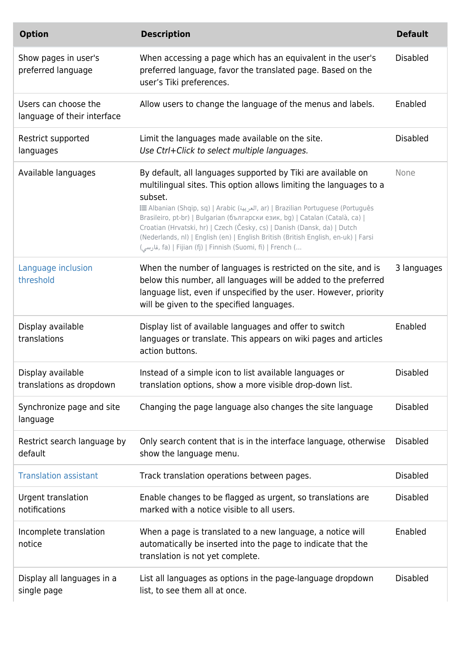| <b>Option</b>                                       | <b>Description</b>                                                                                                                                                                                                                                                                                                                                                                                                                                                                                                                                      | <b>Default</b>  |
|-----------------------------------------------------|---------------------------------------------------------------------------------------------------------------------------------------------------------------------------------------------------------------------------------------------------------------------------------------------------------------------------------------------------------------------------------------------------------------------------------------------------------------------------------------------------------------------------------------------------------|-----------------|
| Show pages in user's<br>preferred language          | When accessing a page which has an equivalent in the user's<br>preferred language, favor the translated page. Based on the<br>user's Tiki preferences.                                                                                                                                                                                                                                                                                                                                                                                                  | <b>Disabled</b> |
| Users can choose the<br>language of their interface | Allow users to change the language of the menus and labels.                                                                                                                                                                                                                                                                                                                                                                                                                                                                                             | Enabled         |
| Restrict supported<br>languages                     | Limit the languages made available on the site.<br>Use Ctrl+Click to select multiple languages.                                                                                                                                                                                                                                                                                                                                                                                                                                                         | <b>Disabled</b> |
| Available languages                                 | By default, all languages supported by Tiki are available on<br>multilingual sites. This option allows limiting the languages to a<br>subset.<br>tar)   Brazilian Portuguese (Português (العربية, ar)   Brazilian Portuguese (Português<br>Brasileiro, pt-br)   Bulgarian (български език, bg)   Catalan (Català, ca)  <br>Croatian (Hrvatski, hr)   Czech (Česky, cs)   Danish (Dansk, da)   Dutch<br>(Nederlands, nl)   English (en)   English British (British English, en-uk)   Farsi<br>(قارسی, fa)   Fijian (fj)   Finnish (Suomi, fi)   French ( | None            |
| Language inclusion<br>threshold                     | When the number of languages is restricted on the site, and is<br>below this number, all languages will be added to the preferred<br>language list, even if unspecified by the user. However, priority<br>will be given to the specified languages.                                                                                                                                                                                                                                                                                                     | 3 languages     |
| Display available<br>translations                   | Display list of available languages and offer to switch<br>languages or translate. This appears on wiki pages and articles<br>action buttons.                                                                                                                                                                                                                                                                                                                                                                                                           | Enabled         |
| Display available<br>translations as dropdown       | Instead of a simple icon to list available languages or<br>translation options, show a more visible drop-down list.                                                                                                                                                                                                                                                                                                                                                                                                                                     | <b>Disabled</b> |
| Synchronize page and site<br>language               | Changing the page language also changes the site language                                                                                                                                                                                                                                                                                                                                                                                                                                                                                               | <b>Disabled</b> |
| Restrict search language by<br>default              | Only search content that is in the interface language, otherwise<br>show the language menu.                                                                                                                                                                                                                                                                                                                                                                                                                                                             | <b>Disabled</b> |
| <b>Translation assistant</b>                        | Track translation operations between pages.                                                                                                                                                                                                                                                                                                                                                                                                                                                                                                             | <b>Disabled</b> |
| Urgent translation<br>notifications                 | Enable changes to be flagged as urgent, so translations are<br>marked with a notice visible to all users.                                                                                                                                                                                                                                                                                                                                                                                                                                               | <b>Disabled</b> |
| Incomplete translation<br>notice                    | When a page is translated to a new language, a notice will<br>automatically be inserted into the page to indicate that the<br>translation is not yet complete.                                                                                                                                                                                                                                                                                                                                                                                          | Enabled         |
| Display all languages in a<br>single page           | List all languages as options in the page-language dropdown<br>list, to see them all at once.                                                                                                                                                                                                                                                                                                                                                                                                                                                           | <b>Disabled</b> |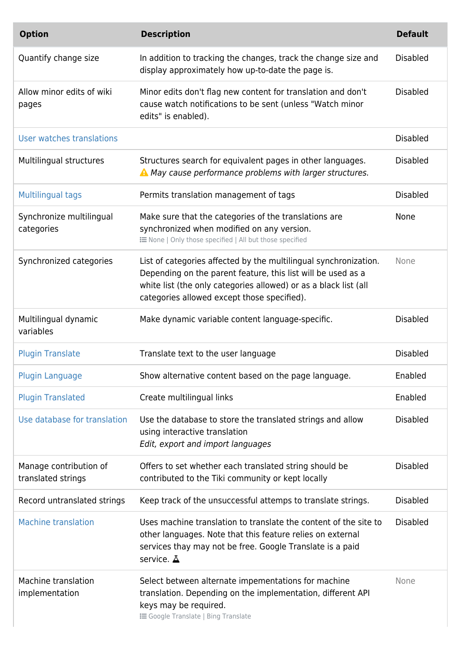| <b>Option</b>                                | <b>Description</b>                                                                                                                                                                                                                                  | <b>Default</b>  |
|----------------------------------------------|-----------------------------------------------------------------------------------------------------------------------------------------------------------------------------------------------------------------------------------------------------|-----------------|
| Quantify change size                         | In addition to tracking the changes, track the change size and<br>display approximately how up-to-date the page is.                                                                                                                                 | <b>Disabled</b> |
| Allow minor edits of wiki<br>pages           | Minor edits don't flag new content for translation and don't<br>cause watch notifications to be sent (unless "Watch minor<br>edits" is enabled).                                                                                                    | <b>Disabled</b> |
| User watches translations                    |                                                                                                                                                                                                                                                     | <b>Disabled</b> |
| Multilingual structures                      | Structures search for equivalent pages in other languages.<br>A May cause performance problems with larger structures.                                                                                                                              | <b>Disabled</b> |
| <b>Multilingual tags</b>                     | Permits translation management of tags                                                                                                                                                                                                              | <b>Disabled</b> |
| Synchronize multilingual<br>categories       | Make sure that the categories of the translations are<br>synchronized when modified on any version.<br>: ENone   Only those specified   All but those specified                                                                                     | <b>None</b>     |
| Synchronized categories                      | List of categories affected by the multilingual synchronization.<br>Depending on the parent feature, this list will be used as a<br>white list (the only categories allowed) or as a black list (all<br>categories allowed except those specified). | None            |
| Multilingual dynamic<br>variables            | Make dynamic variable content language-specific.                                                                                                                                                                                                    | <b>Disabled</b> |
| <b>Plugin Translate</b>                      | Translate text to the user language                                                                                                                                                                                                                 | <b>Disabled</b> |
| Plugin Language                              | Show alternative content based on the page language.                                                                                                                                                                                                | Enabled         |
| <b>Plugin Translated</b>                     | Create multilingual links                                                                                                                                                                                                                           | Enabled         |
| Use database for translation                 | Use the database to store the translated strings and allow<br>using interactive translation<br>Edit, export and import languages                                                                                                                    | <b>Disabled</b> |
| Manage contribution of<br>translated strings | Offers to set whether each translated string should be<br>contributed to the Tiki community or kept locally                                                                                                                                         | <b>Disabled</b> |
| Record untranslated strings                  | Keep track of the unsuccessful attemps to translate strings.                                                                                                                                                                                        | <b>Disabled</b> |
| <b>Machine translation</b>                   | Uses machine translation to translate the content of the site to<br>other languages. Note that this feature relies on external<br>services thay may not be free. Google Translate is a paid<br>service. A                                           | <b>Disabled</b> |
| Machine translation<br>implementation        | Select between alternate impementations for machine<br>translation. Depending on the implementation, different API<br>keys may be required.<br><b>i</b> Google Translate   Bing Translate                                                           | None            |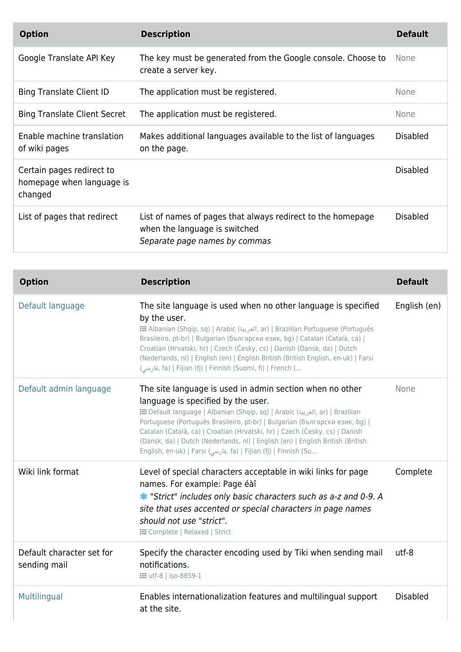| <b>Option</b>                                                     | <b>Description</b>                                                                                                            | <b>Default</b>  |
|-------------------------------------------------------------------|-------------------------------------------------------------------------------------------------------------------------------|-----------------|
| Google Translate API Key                                          | The key must be generated from the Google console. Choose to<br>create a server key.                                          | None            |
| <b>Bing Translate Client ID</b>                                   | The application must be registered.                                                                                           | <b>None</b>     |
| <b>Bing Translate Client Secret</b>                               | The application must be registered.                                                                                           | <b>None</b>     |
| Enable machine translation<br>of wiki pages                       | Makes additional languages available to the list of languages<br>on the page.                                                 | <b>Disabled</b> |
| Certain pages redirect to<br>homepage when language is<br>changed |                                                                                                                               | <b>Disabled</b> |
| List of pages that redirect                                       | List of names of pages that always redirect to the homepage<br>when the language is switched<br>Separate page names by commas | Disabled        |

| <b>Option</b>                             | <b>Description</b>                                                                                                                                                                                                                                                                                                                                                                                                                                                                                | <b>Default</b>  |
|-------------------------------------------|---------------------------------------------------------------------------------------------------------------------------------------------------------------------------------------------------------------------------------------------------------------------------------------------------------------------------------------------------------------------------------------------------------------------------------------------------------------------------------------------------|-----------------|
| Default language                          | The site language is used when no other language is specified<br>by the user.<br>E Albanian (Shqip, sq)   Arabic (العربية, ar)   Brazilian Portuguese (Português<br>Brasileiro, pt-br)   Bulgarian (български език, bg)   Catalan (Català, ca)  <br>Croatian (Hrvatski, hr)   Czech (Česky, cs)   Danish (Dansk, da)   Dutch<br>(Nederlands, nl)   English (en)   English British (British English, en-uk)   Farsi<br>(قارسی, fa)   Fijian (fj)   Finnish (Suomi, fi)   French (                  | English (en)    |
| Default admin language                    | The site language is used in admin section when no other<br>language is specified by the user.<br>E Default language   Albanian (Shqip, sq)   Arabic (العربية, ar)   Brazilian<br>Portuguese (Português Brasileiro, pt-br)   Bulgarian (български език, bg)  <br>Catalan (Català, ca)   Croatian (Hrvatski, hr)   Czech (Česky, cs)   Danish<br>(Dansk, da)   Dutch (Nederlands, nl)   English (en)   English British (British<br>English, en-uk)   Farsi (فارسی, fa)   Fijian (fj)   Finnish (Su | None            |
| Wiki link format                          | Level of special characters acceptable in wiki links for page<br>names. For example: Page éàî<br>* "Strict" includes only basic characters such as a-z and 0-9. A<br>site that uses accented or special characters in page names<br>should not use "strict".<br><b>E Complete   Relaxed   Strict</b>                                                                                                                                                                                              | Complete        |
| Default character set for<br>sending mail | Specify the character encoding used by Tiki when sending mail<br>notifications.<br><b>:</b> = utf-8   iso-8859-1                                                                                                                                                                                                                                                                                                                                                                                  | utf-8           |
| Multilingual                              | Enables internationalization features and multilingual support<br>at the site.                                                                                                                                                                                                                                                                                                                                                                                                                    | <b>Disabled</b> |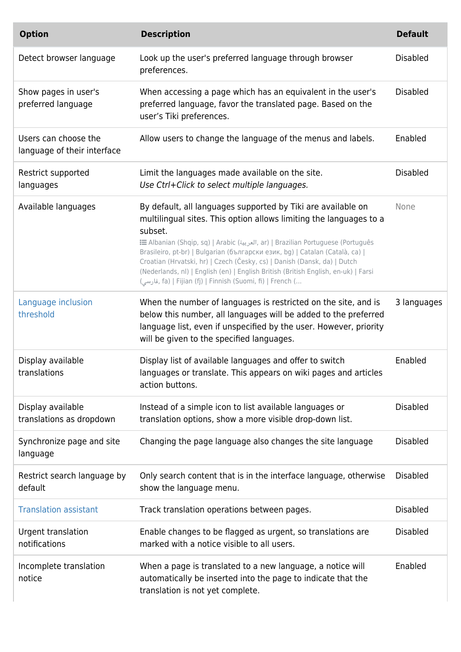| <b>Option</b>                                       | <b>Description</b>                                                                                                                                                                                                                                                                                                                                                                                                                                                                                                                                | <b>Default</b>  |
|-----------------------------------------------------|---------------------------------------------------------------------------------------------------------------------------------------------------------------------------------------------------------------------------------------------------------------------------------------------------------------------------------------------------------------------------------------------------------------------------------------------------------------------------------------------------------------------------------------------------|-----------------|
| Detect browser language                             | Look up the user's preferred language through browser<br>preferences.                                                                                                                                                                                                                                                                                                                                                                                                                                                                             | <b>Disabled</b> |
| Show pages in user's<br>preferred language          | When accessing a page which has an equivalent in the user's<br>preferred language, favor the translated page. Based on the<br>user's Tiki preferences.                                                                                                                                                                                                                                                                                                                                                                                            | <b>Disabled</b> |
| Users can choose the<br>language of their interface | Allow users to change the language of the menus and labels.                                                                                                                                                                                                                                                                                                                                                                                                                                                                                       | Enabled         |
| Restrict supported<br>languages                     | Limit the languages made available on the site.<br>Use Ctrl+Click to select multiple languages.                                                                                                                                                                                                                                                                                                                                                                                                                                                   | <b>Disabled</b> |
| Available languages                                 | By default, all languages supported by Tiki are available on<br>multilingual sites. This option allows limiting the languages to a<br>subset.<br>E Albanian (Shqip, sq)   Arabic (العربية, ar)   Brazilian Portuguese (Português<br>Brasileiro, pt-br)   Bulgarian (български език, bg)   Catalan (Català, ca)  <br>Croatian (Hrvatski, hr)   Czech (Česky, cs)   Danish (Dansk, da)   Dutch<br>(Nederlands, nl)   English (en)   English British (British English, en-uk)   Farsi<br>, فارسی) fa)   Fijian (fj)   Finnish (Suomi, fi)   French ( | None            |
| Language inclusion<br>threshold                     | When the number of languages is restricted on the site, and is<br>below this number, all languages will be added to the preferred<br>language list, even if unspecified by the user. However, priority<br>will be given to the specified languages.                                                                                                                                                                                                                                                                                               | 3 languages     |
| Display available<br>translations                   | Display list of available languages and offer to switch<br>languages or translate. This appears on wiki pages and articles<br>action buttons.                                                                                                                                                                                                                                                                                                                                                                                                     | Enabled         |
| Display available<br>translations as dropdown       | Instead of a simple icon to list available languages or<br>translation options, show a more visible drop-down list.                                                                                                                                                                                                                                                                                                                                                                                                                               | <b>Disabled</b> |
| Synchronize page and site<br>language               | Changing the page language also changes the site language                                                                                                                                                                                                                                                                                                                                                                                                                                                                                         | <b>Disabled</b> |
| Restrict search language by<br>default              | Only search content that is in the interface language, otherwise<br>show the language menu.                                                                                                                                                                                                                                                                                                                                                                                                                                                       | <b>Disabled</b> |
| <b>Translation assistant</b>                        | Track translation operations between pages.                                                                                                                                                                                                                                                                                                                                                                                                                                                                                                       | <b>Disabled</b> |
| Urgent translation<br>notifications                 | Enable changes to be flagged as urgent, so translations are<br>marked with a notice visible to all users.                                                                                                                                                                                                                                                                                                                                                                                                                                         | <b>Disabled</b> |
| Incomplete translation<br>notice                    | When a page is translated to a new language, a notice will<br>automatically be inserted into the page to indicate that the<br>translation is not yet complete.                                                                                                                                                                                                                                                                                                                                                                                    | Enabled         |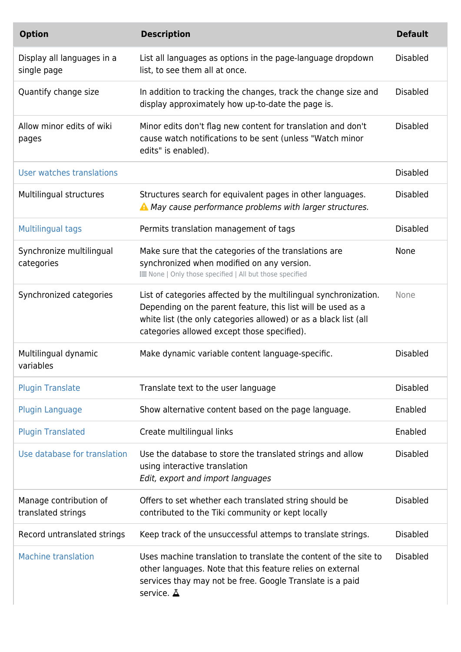| <b>Option</b>                                | <b>Description</b>                                                                                                                                                                                                                                  | <b>Default</b>  |
|----------------------------------------------|-----------------------------------------------------------------------------------------------------------------------------------------------------------------------------------------------------------------------------------------------------|-----------------|
| Display all languages in a<br>single page    | List all languages as options in the page-language dropdown<br>list, to see them all at once.                                                                                                                                                       | <b>Disabled</b> |
| Quantify change size                         | In addition to tracking the changes, track the change size and<br>display approximately how up-to-date the page is.                                                                                                                                 | <b>Disabled</b> |
| Allow minor edits of wiki<br>pages           | Minor edits don't flag new content for translation and don't<br>cause watch notifications to be sent (unless "Watch minor<br>edits" is enabled).                                                                                                    | <b>Disabled</b> |
| User watches translations                    |                                                                                                                                                                                                                                                     | <b>Disabled</b> |
| Multilingual structures                      | Structures search for equivalent pages in other languages.<br>A May cause performance problems with larger structures.                                                                                                                              | <b>Disabled</b> |
| Multilingual tags                            | Permits translation management of tags                                                                                                                                                                                                              | <b>Disabled</b> |
| Synchronize multilingual<br>categories       | Make sure that the categories of the translations are<br>synchronized when modified on any version.<br>i None   Only those specified   All but those specified                                                                                      | None            |
| Synchronized categories                      | List of categories affected by the multilingual synchronization.<br>Depending on the parent feature, this list will be used as a<br>white list (the only categories allowed) or as a black list (all<br>categories allowed except those specified). | None            |
| Multilingual dynamic<br>variables            | Make dynamic variable content language-specific.                                                                                                                                                                                                    | <b>Disabled</b> |
| <b>Plugin Translate</b>                      | Translate text to the user language                                                                                                                                                                                                                 | <b>Disabled</b> |
| <b>Plugin Language</b>                       | Show alternative content based on the page language.                                                                                                                                                                                                | Enabled         |
| <b>Plugin Translated</b>                     | Create multilingual links                                                                                                                                                                                                                           | Enabled         |
| Use database for translation                 | Use the database to store the translated strings and allow<br>using interactive translation<br>Edit, export and import languages                                                                                                                    | <b>Disabled</b> |
| Manage contribution of<br>translated strings | Offers to set whether each translated string should be<br>contributed to the Tiki community or kept locally                                                                                                                                         | <b>Disabled</b> |
| Record untranslated strings                  | Keep track of the unsuccessful attemps to translate strings.                                                                                                                                                                                        | <b>Disabled</b> |
| <b>Machine translation</b>                   | Uses machine translation to translate the content of the site to<br>other languages. Note that this feature relies on external<br>services thay may not be free. Google Translate is a paid<br>service. $\Delta$                                    | <b>Disabled</b> |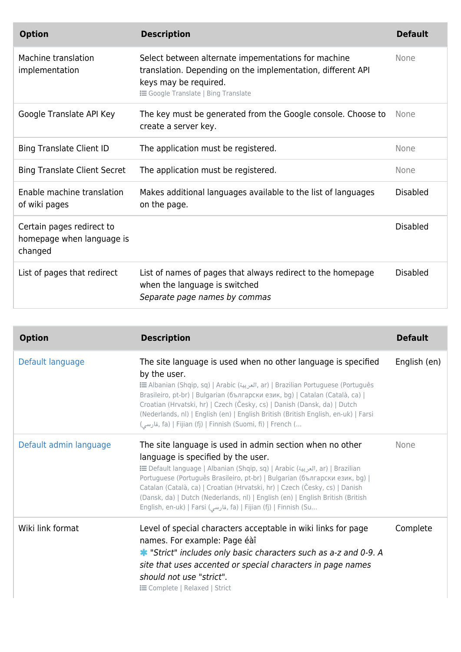| <b>Option</b>                                                     | <b>Description</b>                                                                                                                                                                        | <b>Default</b>  |
|-------------------------------------------------------------------|-------------------------------------------------------------------------------------------------------------------------------------------------------------------------------------------|-----------------|
| Machine translation<br>implementation                             | Select between alternate impementations for machine<br>translation. Depending on the implementation, different API<br>keys may be required.<br><b>i</b> Google Translate   Bing Translate | None            |
| Google Translate API Key                                          | The key must be generated from the Google console. Choose to<br>create a server key.                                                                                                      | None            |
| <b>Bing Translate Client ID</b>                                   | The application must be registered.                                                                                                                                                       | None            |
| <b>Bing Translate Client Secret</b>                               | The application must be registered.                                                                                                                                                       | None            |
| Enable machine translation<br>of wiki pages                       | Makes additional languages available to the list of languages<br>on the page.                                                                                                             | <b>Disabled</b> |
| Certain pages redirect to<br>homepage when language is<br>changed |                                                                                                                                                                                           | <b>Disabled</b> |
| List of pages that redirect                                       | List of names of pages that always redirect to the homepage<br>when the language is switched<br>Separate page names by commas                                                             | <b>Disabled</b> |

| <b>Option</b>          | <b>Description</b>                                                                                                                                                                                                                                                                                                                                                                                                                                                                                | <b>Default</b> |
|------------------------|---------------------------------------------------------------------------------------------------------------------------------------------------------------------------------------------------------------------------------------------------------------------------------------------------------------------------------------------------------------------------------------------------------------------------------------------------------------------------------------------------|----------------|
| Default language       | The site language is used when no other language is specified<br>by the user.<br>tar)   Brazilian Portuguese (Português (العربية, ar)   Brazilian Portuguese (Português<br>Brasileiro, pt-br)   Bulgarian (български език, bg)   Catalan (Català, ca)  <br>Croatian (Hrvatski, hr)   Czech (Česky, cs)   Danish (Dansk, da)   Dutch<br>(Nederlands, nl)   English (en)   English British (British English, en-uk)   Farsi<br>فارسی), fa)   Fijian (fj)   Finnish (Suomi, fi)   French (           | English (en)   |
| Default admin language | The site language is used in admin section when no other<br>language is specified by the user.<br>i Default language   Albanian (Shqip, sq)   Arabic (العربية, ar)   Brazilian<br>Portuguese (Português Brasileiro, pt-br)   Bulgarian (български език, bg)  <br>Catalan (Català, ca)   Croatian (Hrvatski, hr)   Czech (Česky, cs)   Danish<br>(Dansk, da)   Dutch (Nederlands, nl)   English (en)   English British (British<br>English, en-uk)   Farsi (فارسی, fa)   Fijian (fj)   Finnish (Su | None           |
| Wiki link format       | Level of special characters acceptable in wiki links for page<br>names. For example: Page éàî<br>* "Strict" includes only basic characters such as a-z and 0-9. A<br>site that uses accented or special characters in page names<br>should not use "strict".<br><b>E</b> Complete   Relaxed   Strict                                                                                                                                                                                              | Complete       |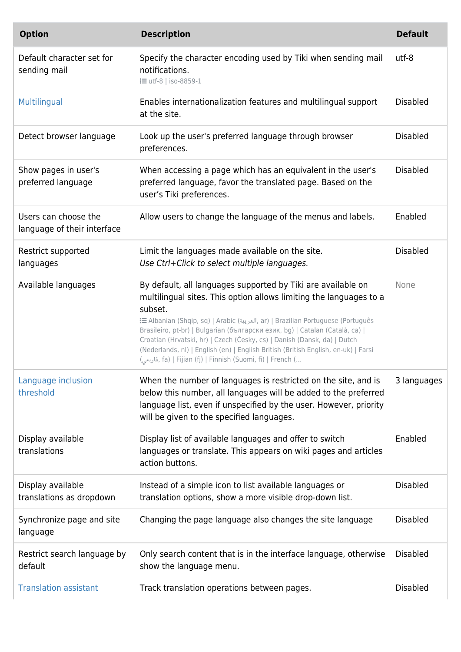| <b>Option</b>                                       | <b>Description</b>                                                                                                                                                                                                                                                                                                                                                                                                                                                                                                                               | <b>Default</b>  |
|-----------------------------------------------------|--------------------------------------------------------------------------------------------------------------------------------------------------------------------------------------------------------------------------------------------------------------------------------------------------------------------------------------------------------------------------------------------------------------------------------------------------------------------------------------------------------------------------------------------------|-----------------|
| Default character set for<br>sending mail           | Specify the character encoding used by Tiki when sending mail<br>notifications.<br><b>:</b> = utf-8   iso-8859-1                                                                                                                                                                                                                                                                                                                                                                                                                                 | utf-8           |
| Multilingual                                        | Enables internationalization features and multilingual support<br>at the site.                                                                                                                                                                                                                                                                                                                                                                                                                                                                   | <b>Disabled</b> |
| Detect browser language                             | Look up the user's preferred language through browser<br>preferences.                                                                                                                                                                                                                                                                                                                                                                                                                                                                            | <b>Disabled</b> |
| Show pages in user's<br>preferred language          | When accessing a page which has an equivalent in the user's<br>preferred language, favor the translated page. Based on the<br>user's Tiki preferences.                                                                                                                                                                                                                                                                                                                                                                                           | <b>Disabled</b> |
| Users can choose the<br>language of their interface | Allow users to change the language of the menus and labels.                                                                                                                                                                                                                                                                                                                                                                                                                                                                                      | Enabled         |
| Restrict supported<br>languages                     | Limit the languages made available on the site.<br>Use Ctrl+Click to select multiple languages.                                                                                                                                                                                                                                                                                                                                                                                                                                                  | <b>Disabled</b> |
| Available languages                                 | By default, all languages supported by Tiki are available on<br>multilingual sites. This option allows limiting the languages to a<br>subset.<br>imazilian Portuguese (Português (العربية, ar)   Brazilian Portuguese (Português<br>Brasileiro, pt-br)   Bulgarian (български език, bg)   Catalan (Català, ca)  <br>Croatian (Hrvatski, hr)   Czech (Česky, cs)   Danish (Dansk, da)   Dutch<br>(Nederlands, nl)   English (en)   English British (British English, en-uk)   Farsi<br>(قارسی, fa)   Fijian (fj)   Finnish (Suomi, fi)   French ( | None            |
| Language inclusion<br>threshold                     | When the number of languages is restricted on the site, and is<br>below this number, all languages will be added to the preferred<br>language list, even if unspecified by the user. However, priority<br>will be given to the specified languages.                                                                                                                                                                                                                                                                                              | 3 languages     |
| Display available<br>translations                   | Display list of available languages and offer to switch<br>languages or translate. This appears on wiki pages and articles<br>action buttons.                                                                                                                                                                                                                                                                                                                                                                                                    | Enabled         |
| Display available<br>translations as dropdown       | Instead of a simple icon to list available languages or<br>translation options, show a more visible drop-down list.                                                                                                                                                                                                                                                                                                                                                                                                                              | <b>Disabled</b> |
| Synchronize page and site<br>language               | Changing the page language also changes the site language                                                                                                                                                                                                                                                                                                                                                                                                                                                                                        | <b>Disabled</b> |
| Restrict search language by<br>default              | Only search content that is in the interface language, otherwise<br>show the language menu.                                                                                                                                                                                                                                                                                                                                                                                                                                                      | <b>Disabled</b> |
| <b>Translation assistant</b>                        | Track translation operations between pages.                                                                                                                                                                                                                                                                                                                                                                                                                                                                                                      | <b>Disabled</b> |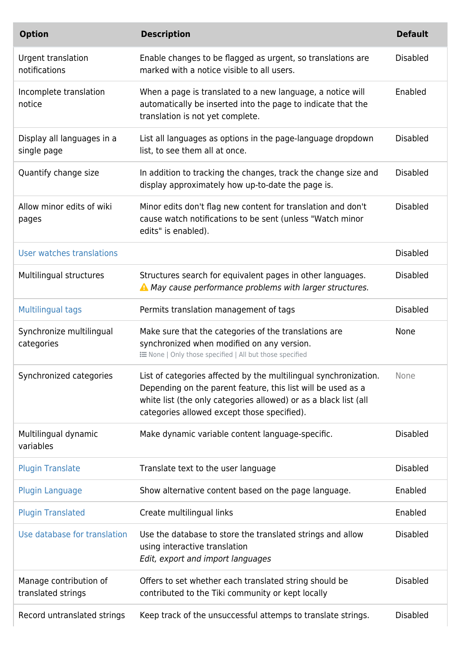| <b>Option</b>                                | <b>Description</b>                                                                                                                                                                                                                                  | <b>Default</b>  |
|----------------------------------------------|-----------------------------------------------------------------------------------------------------------------------------------------------------------------------------------------------------------------------------------------------------|-----------------|
| Urgent translation<br>notifications          | Enable changes to be flagged as urgent, so translations are<br>marked with a notice visible to all users.                                                                                                                                           | <b>Disabled</b> |
| Incomplete translation<br>notice             | When a page is translated to a new language, a notice will<br>automatically be inserted into the page to indicate that the<br>translation is not yet complete.                                                                                      | Enabled         |
| Display all languages in a<br>single page    | List all languages as options in the page-language dropdown<br>list, to see them all at once.                                                                                                                                                       | <b>Disabled</b> |
| Quantify change size                         | In addition to tracking the changes, track the change size and<br>display approximately how up-to-date the page is.                                                                                                                                 | <b>Disabled</b> |
| Allow minor edits of wiki<br>pages           | Minor edits don't flag new content for translation and don't<br>cause watch notifications to be sent (unless "Watch minor<br>edits" is enabled).                                                                                                    | <b>Disabled</b> |
| User watches translations                    |                                                                                                                                                                                                                                                     | <b>Disabled</b> |
| Multilingual structures                      | Structures search for equivalent pages in other languages.<br>A May cause performance problems with larger structures.                                                                                                                              | <b>Disabled</b> |
| <b>Multilingual tags</b>                     | Permits translation management of tags                                                                                                                                                                                                              | <b>Disabled</b> |
| Synchronize multilingual<br>categories       | Make sure that the categories of the translations are<br>synchronized when modified on any version.<br>: ENone   Only those specified   All but those specified                                                                                     | <b>None</b>     |
|                                              |                                                                                                                                                                                                                                                     |                 |
| Synchronized categories                      | List of categories affected by the multilingual synchronization.<br>Depending on the parent feature, this list will be used as a<br>white list (the only categories allowed) or as a black list (all<br>categories allowed except those specified). | None            |
| Multilingual dynamic<br>variables            | Make dynamic variable content language-specific.                                                                                                                                                                                                    | <b>Disabled</b> |
| <b>Plugin Translate</b>                      | Translate text to the user language                                                                                                                                                                                                                 | <b>Disabled</b> |
| <b>Plugin Language</b>                       | Show alternative content based on the page language.                                                                                                                                                                                                | Enabled         |
| <b>Plugin Translated</b>                     | Create multilingual links                                                                                                                                                                                                                           | Enabled         |
| Use database for translation                 | Use the database to store the translated strings and allow<br>using interactive translation<br>Edit, export and import languages                                                                                                                    | <b>Disabled</b> |
| Manage contribution of<br>translated strings | Offers to set whether each translated string should be<br>contributed to the Tiki community or kept locally                                                                                                                                         | <b>Disabled</b> |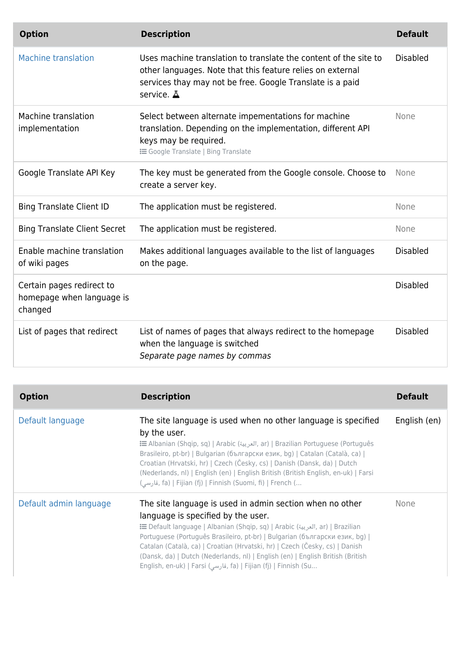| <b>Option</b>                                                     | <b>Description</b>                                                                                                                                                                                               | <b>Default</b>  |
|-------------------------------------------------------------------|------------------------------------------------------------------------------------------------------------------------------------------------------------------------------------------------------------------|-----------------|
| <b>Machine translation</b>                                        | Uses machine translation to translate the content of the site to<br>other languages. Note that this feature relies on external<br>services thay may not be free. Google Translate is a paid<br>service. $\Delta$ | <b>Disabled</b> |
| Machine translation<br>implementation                             | Select between alternate impementations for machine<br>translation. Depending on the implementation, different API<br>keys may be required.<br><b>i</b> Google Translate   Bing Translate                        | None            |
| Google Translate API Key                                          | The key must be generated from the Google console. Choose to<br>create a server key.                                                                                                                             | None            |
| <b>Bing Translate Client ID</b>                                   | The application must be registered.                                                                                                                                                                              | None            |
| <b>Bing Translate Client Secret</b>                               | The application must be registered.                                                                                                                                                                              | None            |
| Enable machine translation<br>of wiki pages                       | Makes additional languages available to the list of languages<br>on the page.                                                                                                                                    | <b>Disabled</b> |
| Certain pages redirect to<br>homepage when language is<br>changed |                                                                                                                                                                                                                  | <b>Disabled</b> |
| List of pages that redirect                                       | List of names of pages that always redirect to the homepage<br>when the language is switched<br>Separate page names by commas                                                                                    | <b>Disabled</b> |

| <b>Option</b>          | <b>Description</b>                                                                                                                                                                                                                                                                                                                                                                                                                                                                                | <b>Default</b> |
|------------------------|---------------------------------------------------------------------------------------------------------------------------------------------------------------------------------------------------------------------------------------------------------------------------------------------------------------------------------------------------------------------------------------------------------------------------------------------------------------------------------------------------|----------------|
| Default language       | The site language is used when no other language is specified<br>by the user.<br>tar)   Brazilian Portuguese (Português (العربية, ar)   Brazilian Portuguese (Português<br>Brasileiro, pt-br)   Bulgarian (български език, bg)   Catalan (Català, ca)  <br>Croatian (Hrvatski, hr)   Czech (Česky, cs)   Danish (Dansk, da)   Dutch<br>(Nederlands, nl)   English (en)   English British (British English, en-uk)   Farsi<br>(قارسی, fa)   Fijian (fj)   Finnish (Suomi, fi)   French (           | English (en)   |
| Default admin language | The site language is used in admin section when no other<br>language is specified by the user.<br>i Default language   Albanian (Shqip, sq)   Arabic (العربية, ar)   Brazilian<br>Portuguese (Português Brasileiro, pt-br)   Bulgarian (български език, bg)  <br>Catalan (Català, ca)   Croatian (Hrvatski, hr)   Czech (Česky, cs)   Danish<br>(Dansk, da)   Dutch (Nederlands, nl)   English (en)   English British (British<br>English, en-uk)   Farsi (فارسی, fa)   Fijian (fj)   Finnish (Su | None           |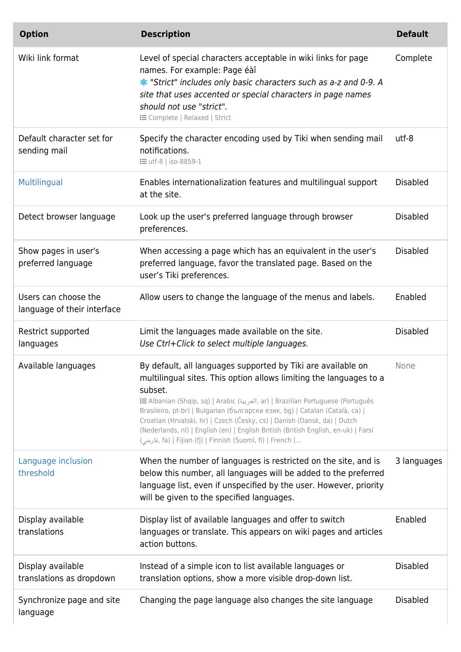| <b>Option</b>                                       | <b>Description</b>                                                                                                                                                                                                                                                                                                                                                                                                                                                                                                                               | <b>Default</b>  |
|-----------------------------------------------------|--------------------------------------------------------------------------------------------------------------------------------------------------------------------------------------------------------------------------------------------------------------------------------------------------------------------------------------------------------------------------------------------------------------------------------------------------------------------------------------------------------------------------------------------------|-----------------|
| Wiki link format                                    | Level of special characters acceptable in wiki links for page<br>names. For example: Page éàî<br>* "Strict" includes only basic characters such as a-z and 0-9. A<br>site that uses accented or special characters in page names<br>should not use "strict".<br><b>i≡</b> Complete   Relaxed   Strict                                                                                                                                                                                                                                            | Complete        |
| Default character set for<br>sending mail           | Specify the character encoding used by Tiki when sending mail<br>notifications.<br><b>i</b> utf-8   iso-8859-1                                                                                                                                                                                                                                                                                                                                                                                                                                   | utf-8           |
| Multilingual                                        | Enables internationalization features and multilingual support<br>at the site.                                                                                                                                                                                                                                                                                                                                                                                                                                                                   | <b>Disabled</b> |
| Detect browser language                             | Look up the user's preferred language through browser<br>preferences.                                                                                                                                                                                                                                                                                                                                                                                                                                                                            | <b>Disabled</b> |
| Show pages in user's<br>preferred language          | When accessing a page which has an equivalent in the user's<br>preferred language, favor the translated page. Based on the<br>user's Tiki preferences.                                                                                                                                                                                                                                                                                                                                                                                           | <b>Disabled</b> |
| Users can choose the<br>language of their interface | Allow users to change the language of the menus and labels.                                                                                                                                                                                                                                                                                                                                                                                                                                                                                      | Enabled         |
| Restrict supported<br>languages                     | Limit the languages made available on the site.<br>Use Ctrl+Click to select multiple languages.                                                                                                                                                                                                                                                                                                                                                                                                                                                  | <b>Disabled</b> |
| Available languages                                 | By default, all languages supported by Tiki are available on<br>multilingual sites. This option allows limiting the languages to a<br>subset.<br>imazilian Portuguese (Português (العربية, ar)   Brazilian Portuguese (Português<br>Brasileiro, pt-br)   Bulgarian (български език, bg)   Catalan (Català, ca)  <br>Croatian (Hrvatski, hr)   Czech (Česky, cs)   Danish (Dansk, da)   Dutch<br>(Nederlands, nl)   English (en)   English British (British English, en-uk)   Farsi<br>فارسی), fa)   Fijian (fj)   Finnish (Suomi, fi)   French ( | None            |
| Language inclusion<br>threshold                     | When the number of languages is restricted on the site, and is<br>below this number, all languages will be added to the preferred<br>language list, even if unspecified by the user. However, priority<br>will be given to the specified languages.                                                                                                                                                                                                                                                                                              | 3 languages     |
| Display available<br>translations                   | Display list of available languages and offer to switch<br>languages or translate. This appears on wiki pages and articles<br>action buttons.                                                                                                                                                                                                                                                                                                                                                                                                    | Enabled         |
| Display available<br>translations as dropdown       | Instead of a simple icon to list available languages or<br>translation options, show a more visible drop-down list.                                                                                                                                                                                                                                                                                                                                                                                                                              | <b>Disabled</b> |
| Synchronize page and site<br>language               | Changing the page language also changes the site language                                                                                                                                                                                                                                                                                                                                                                                                                                                                                        | <b>Disabled</b> |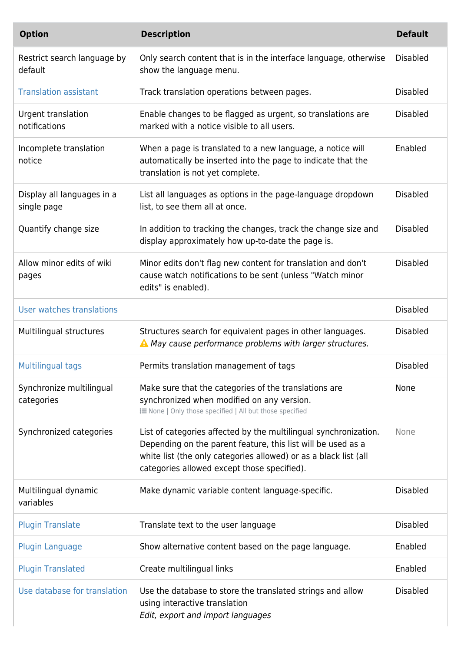| <b>Option</b>                              | <b>Description</b>                                                                                                                                                                                                                                  | <b>Default</b>  |
|--------------------------------------------|-----------------------------------------------------------------------------------------------------------------------------------------------------------------------------------------------------------------------------------------------------|-----------------|
| Restrict search language by<br>default     | Only search content that is in the interface language, otherwise<br>show the language menu.                                                                                                                                                         | <b>Disabled</b> |
| <b>Translation assistant</b>               | Track translation operations between pages.                                                                                                                                                                                                         | <b>Disabled</b> |
| <b>Urgent translation</b><br>notifications | Enable changes to be flagged as urgent, so translations are<br>marked with a notice visible to all users.                                                                                                                                           | <b>Disabled</b> |
| Incomplete translation<br>notice           | When a page is translated to a new language, a notice will<br>automatically be inserted into the page to indicate that the<br>translation is not yet complete.                                                                                      | Enabled         |
| Display all languages in a<br>single page  | List all languages as options in the page-language dropdown<br>list, to see them all at once.                                                                                                                                                       | <b>Disabled</b> |
| Quantify change size                       | In addition to tracking the changes, track the change size and<br>display approximately how up-to-date the page is.                                                                                                                                 | <b>Disabled</b> |
| Allow minor edits of wiki<br>pages         | Minor edits don't flag new content for translation and don't<br>cause watch notifications to be sent (unless "Watch minor<br>edits" is enabled).                                                                                                    | <b>Disabled</b> |
| User watches translations                  |                                                                                                                                                                                                                                                     | <b>Disabled</b> |
| Multilingual structures                    | Structures search for equivalent pages in other languages.<br>A May cause performance problems with larger structures.                                                                                                                              | <b>Disabled</b> |
| Multilingual tags                          | Permits translation management of tags                                                                                                                                                                                                              | <b>Disabled</b> |
| Synchronize multilingual<br>categories     | Make sure that the categories of the translations are<br>synchronized when modified on any version.<br>: ENone   Only those specified   All but those specified                                                                                     | None            |
| Synchronized categories                    | List of categories affected by the multilingual synchronization.<br>Depending on the parent feature, this list will be used as a<br>white list (the only categories allowed) or as a black list (all<br>categories allowed except those specified). | None            |
| Multilingual dynamic<br>variables          | Make dynamic variable content language-specific.                                                                                                                                                                                                    | <b>Disabled</b> |
| <b>Plugin Translate</b>                    | Translate text to the user language                                                                                                                                                                                                                 | <b>Disabled</b> |
| <b>Plugin Language</b>                     | Show alternative content based on the page language.                                                                                                                                                                                                | Enabled         |
| <b>Plugin Translated</b>                   | Create multilingual links                                                                                                                                                                                                                           | Enabled         |
| Use database for translation               | Use the database to store the translated strings and allow<br>using interactive translation<br>Edit, export and import languages                                                                                                                    | <b>Disabled</b> |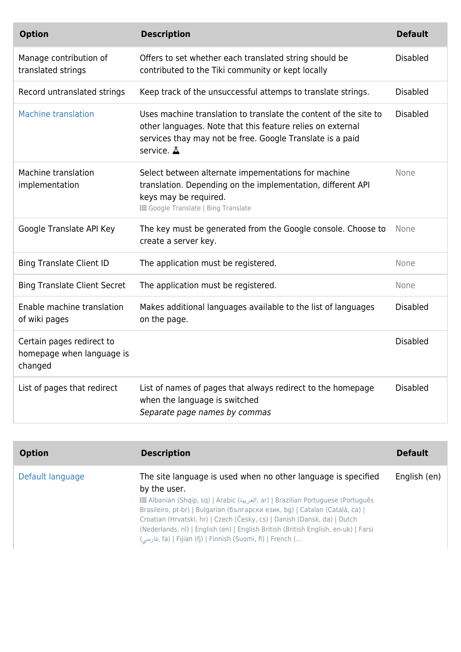| <b>Option</b>                                                     | <b>Description</b>                                                                                                                                                                                               | <b>Default</b>  |
|-------------------------------------------------------------------|------------------------------------------------------------------------------------------------------------------------------------------------------------------------------------------------------------------|-----------------|
| Manage contribution of<br>translated strings                      | Offers to set whether each translated string should be<br>contributed to the Tiki community or kept locally                                                                                                      | <b>Disabled</b> |
| Record untranslated strings                                       | Keep track of the unsuccessful attemps to translate strings.                                                                                                                                                     | <b>Disabled</b> |
| <b>Machine translation</b>                                        | Uses machine translation to translate the content of the site to<br>other languages. Note that this feature relies on external<br>services thay may not be free. Google Translate is a paid<br>service. $\Delta$ | <b>Disabled</b> |
| Machine translation<br>implementation                             | Select between alternate impementations for machine<br>translation. Depending on the implementation, different API<br>keys may be required.<br><b>i</b> Google Translate   Bing Translate                        | None            |
| Google Translate API Key                                          | The key must be generated from the Google console. Choose to<br>create a server key.                                                                                                                             | None            |
| <b>Bing Translate Client ID</b>                                   | The application must be registered.                                                                                                                                                                              | None            |
| <b>Bing Translate Client Secret</b>                               | The application must be registered.                                                                                                                                                                              | None            |
| Enable machine translation<br>of wiki pages                       | Makes additional languages available to the list of languages<br>on the page.                                                                                                                                    | <b>Disabled</b> |
| Certain pages redirect to<br>homepage when language is<br>changed |                                                                                                                                                                                                                  | <b>Disabled</b> |
| List of pages that redirect                                       | List of names of pages that always redirect to the homepage<br>when the language is switched<br>Separate page names by commas                                                                                    | <b>Disabled</b> |

| <b>Option</b>    | <b>Description</b>                                                                                                                                                                                                                                                                                                                                                                                                                                                               | <b>Default</b> |
|------------------|----------------------------------------------------------------------------------------------------------------------------------------------------------------------------------------------------------------------------------------------------------------------------------------------------------------------------------------------------------------------------------------------------------------------------------------------------------------------------------|----------------|
| Default language | The site language is used when no other language is specified<br>by the user.<br>i Ilbanian (Shqip, sq)   Arabic (العربية, ar)   Brazilian Portuguese (Português<br>Brasileiro, pt-br)   Bulgarian (български език, bg)   Catalan (Català, ca)  <br>Croatian (Hrvatski, hr)   Czech (Česky, cs)   Danish (Dansk, da)   Dutch<br>(Nederlands, nl)   English (en)   English British (British English, en-uk)   Farsi<br>(قارسی, fa)   Fijian (fj)   Finnish (Suomi, fi)   French ( | English (en)   |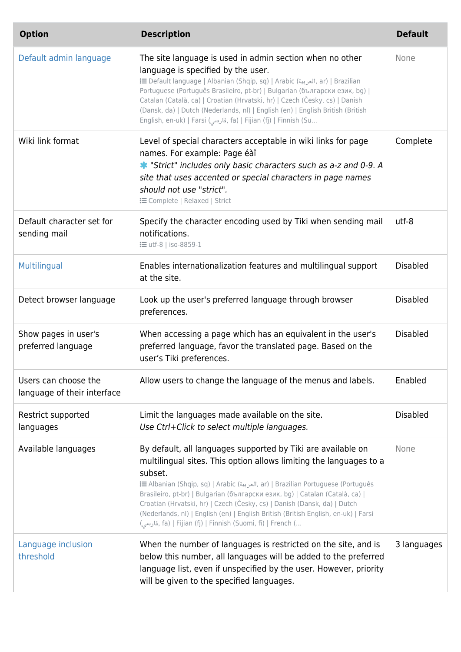| <b>Option</b>                                       | <b>Description</b>                                                                                                                                                                                                                                                                                                                                                                                                                                                                                                                               | <b>Default</b>  |
|-----------------------------------------------------|--------------------------------------------------------------------------------------------------------------------------------------------------------------------------------------------------------------------------------------------------------------------------------------------------------------------------------------------------------------------------------------------------------------------------------------------------------------------------------------------------------------------------------------------------|-----------------|
| Default admin language                              | The site language is used in admin section when no other<br>language is specified by the user.<br>i Default language   Albanian (Shqip, sq)   Arabic (العربية, ar)   Brazilian<br>Portuguese (Português Brasileiro, pt-br)   Bulgarian (български език, bg)  <br>Catalan (Català, ca)   Croatian (Hrvatski, hr)   Czech (Česky, cs)   Danish<br>(Dansk, da)   Dutch (Nederlands, nl)   English (en)   English British (British<br>English, en-uk)   Farsi (فارسی, fa)   Fijian (fj)   Finnish (Su                                                | None            |
| Wiki link format                                    | Level of special characters acceptable in wiki links for page<br>names. For example: Page éàî<br>* "Strict" includes only basic characters such as a-z and 0-9. A<br>site that uses accented or special characters in page names<br>should not use "strict".<br><b>E</b> Complete   Relaxed   Strict                                                                                                                                                                                                                                             | Complete        |
| Default character set for<br>sending mail           | Specify the character encoding used by Tiki when sending mail<br>notifications.<br><b>: =</b> utf-8   iso-8859-1                                                                                                                                                                                                                                                                                                                                                                                                                                 | utf-8           |
| Multilingual                                        | Enables internationalization features and multilingual support<br>at the site.                                                                                                                                                                                                                                                                                                                                                                                                                                                                   | <b>Disabled</b> |
| Detect browser language                             | Look up the user's preferred language through browser<br>preferences.                                                                                                                                                                                                                                                                                                                                                                                                                                                                            | <b>Disabled</b> |
| Show pages in user's<br>preferred language          | When accessing a page which has an equivalent in the user's<br>preferred language, favor the translated page. Based on the<br>user's Tiki preferences.                                                                                                                                                                                                                                                                                                                                                                                           | <b>Disabled</b> |
| Users can choose the<br>language of their interface | Allow users to change the language of the menus and labels.                                                                                                                                                                                                                                                                                                                                                                                                                                                                                      | Enabled         |
| Restrict supported<br>languages                     | Limit the languages made available on the site.<br>Use Ctrl+Click to select multiple languages.                                                                                                                                                                                                                                                                                                                                                                                                                                                  | <b>Disabled</b> |
| Available languages                                 | By default, all languages supported by Tiki are available on<br>multilingual sites. This option allows limiting the languages to a<br>subset.<br>imazilian Portuguese (Português (العربية, ar)   Brazilian Portuguese (Português<br>Brasileiro, pt-br)   Bulgarian (български език, bg)   Catalan (Català, ca)  <br>Croatian (Hrvatski, hr)   Czech (Česky, cs)   Danish (Dansk, da)   Dutch<br>(Nederlands, nl)   English (en)   English British (British English, en-uk)   Farsi<br>(قارسی, fa)   Fijian (fj)   Finnish (Suomi, fi)   French ( | None            |
| Language inclusion<br>threshold                     | When the number of languages is restricted on the site, and is<br>below this number, all languages will be added to the preferred<br>language list, even if unspecified by the user. However, priority<br>will be given to the specified languages.                                                                                                                                                                                                                                                                                              | 3 languages     |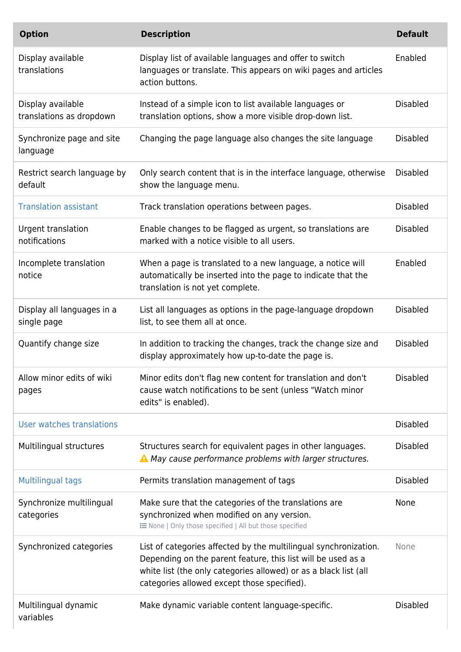| <b>Option</b>                                 | <b>Description</b>                                                                                                                                                                                                                                  | <b>Default</b>  |
|-----------------------------------------------|-----------------------------------------------------------------------------------------------------------------------------------------------------------------------------------------------------------------------------------------------------|-----------------|
| Display available<br>translations             | Display list of available languages and offer to switch<br>languages or translate. This appears on wiki pages and articles<br>action buttons.                                                                                                       | Enabled         |
| Display available<br>translations as dropdown | Instead of a simple icon to list available languages or<br>translation options, show a more visible drop-down list.                                                                                                                                 | <b>Disabled</b> |
| Synchronize page and site<br>language         | Changing the page language also changes the site language                                                                                                                                                                                           | <b>Disabled</b> |
| Restrict search language by<br>default        | Only search content that is in the interface language, otherwise<br>show the language menu.                                                                                                                                                         | <b>Disabled</b> |
| <b>Translation assistant</b>                  | Track translation operations between pages.                                                                                                                                                                                                         | <b>Disabled</b> |
| Urgent translation<br>notifications           | Enable changes to be flagged as urgent, so translations are<br>marked with a notice visible to all users.                                                                                                                                           | <b>Disabled</b> |
| Incomplete translation<br>notice              | When a page is translated to a new language, a notice will<br>automatically be inserted into the page to indicate that the<br>translation is not yet complete.                                                                                      | Enabled         |
| Display all languages in a<br>single page     | List all languages as options in the page-language dropdown<br>list, to see them all at once.                                                                                                                                                       | <b>Disabled</b> |
| Quantify change size                          | In addition to tracking the changes, track the change size and<br>display approximately how up-to-date the page is.                                                                                                                                 | <b>Disabled</b> |
| Allow minor edits of wiki<br>pages            | Minor edits don't flag new content for translation and don't<br>cause watch notifications to be sent (unless "Watch minor<br>edits" is enabled).                                                                                                    | <b>Disabled</b> |
| User watches translations                     |                                                                                                                                                                                                                                                     | <b>Disabled</b> |
| Multilingual structures                       | Structures search for equivalent pages in other languages.<br>A May cause performance problems with larger structures.                                                                                                                              | <b>Disabled</b> |
| <b>Multilingual tags</b>                      | Permits translation management of tags                                                                                                                                                                                                              | <b>Disabled</b> |
| Synchronize multilingual<br>categories        | Make sure that the categories of the translations are<br>synchronized when modified on any version.<br>: ENone   Only those specified   All but those specified                                                                                     | None            |
| Synchronized categories                       | List of categories affected by the multilingual synchronization.<br>Depending on the parent feature, this list will be used as a<br>white list (the only categories allowed) or as a black list (all<br>categories allowed except those specified). | None            |
| Multilingual dynamic<br>variables             | Make dynamic variable content language-specific.                                                                                                                                                                                                    | <b>Disabled</b> |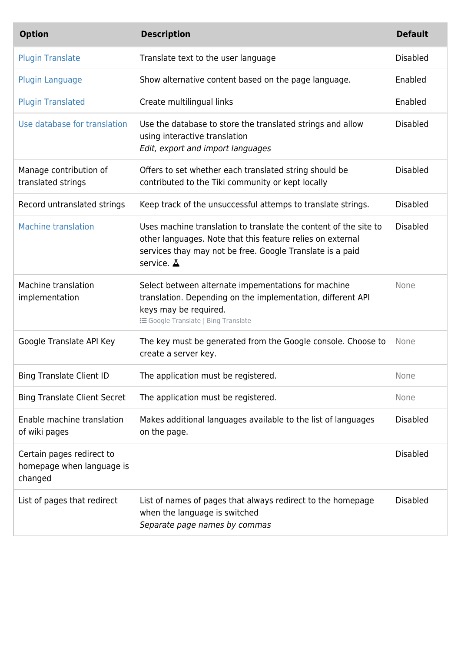| <b>Option</b>                                                     | <b>Description</b>                                                                                                                                                                                               | <b>Default</b>  |
|-------------------------------------------------------------------|------------------------------------------------------------------------------------------------------------------------------------------------------------------------------------------------------------------|-----------------|
| <b>Plugin Translate</b>                                           | Translate text to the user language                                                                                                                                                                              | <b>Disabled</b> |
| <b>Plugin Language</b>                                            | Show alternative content based on the page language.                                                                                                                                                             | Enabled         |
| <b>Plugin Translated</b>                                          | Create multilingual links                                                                                                                                                                                        | Enabled         |
| Use database for translation                                      | Use the database to store the translated strings and allow<br>using interactive translation<br>Edit, export and import languages                                                                                 | <b>Disabled</b> |
| Manage contribution of<br>translated strings                      | Offers to set whether each translated string should be<br>contributed to the Tiki community or kept locally                                                                                                      | <b>Disabled</b> |
| Record untranslated strings                                       | Keep track of the unsuccessful attemps to translate strings.                                                                                                                                                     | <b>Disabled</b> |
| <b>Machine translation</b>                                        | Uses machine translation to translate the content of the site to<br>other languages. Note that this feature relies on external<br>services thay may not be free. Google Translate is a paid<br>service. $\Delta$ | <b>Disabled</b> |
| Machine translation<br>implementation                             | Select between alternate impementations for machine<br>translation. Depending on the implementation, different API<br>keys may be required.<br><b>i</b> Google Translate   Bing Translate                        | None            |
| Google Translate API Key                                          | The key must be generated from the Google console. Choose to<br>create a server key.                                                                                                                             | None            |
| <b>Bing Translate Client ID</b>                                   | The application must be registered.                                                                                                                                                                              | None            |
| <b>Bing Translate Client Secret</b>                               | The application must be registered.                                                                                                                                                                              | None            |
| Enable machine translation<br>of wiki pages                       | Makes additional languages available to the list of languages<br>on the page.                                                                                                                                    | <b>Disabled</b> |
| Certain pages redirect to<br>homepage when language is<br>changed |                                                                                                                                                                                                                  | <b>Disabled</b> |
| List of pages that redirect                                       | List of names of pages that always redirect to the homepage<br>when the language is switched<br>Separate page names by commas                                                                                    | <b>Disabled</b> |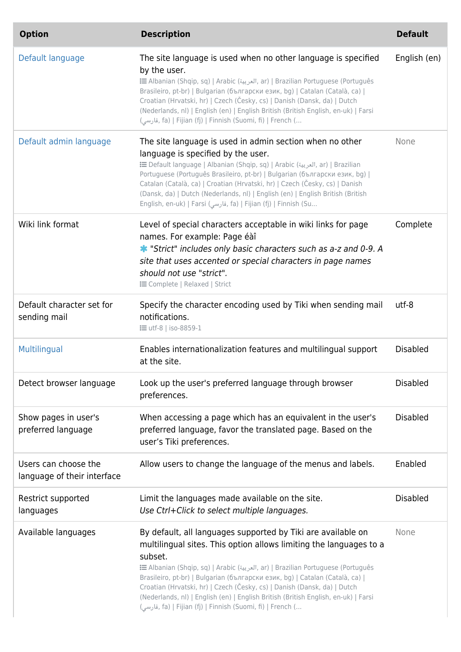| <b>Option</b>                                       | <b>Description</b>                                                                                                                                                                                                                                                                                                                                                                                                                                                                                                                               | <b>Default</b>  |
|-----------------------------------------------------|--------------------------------------------------------------------------------------------------------------------------------------------------------------------------------------------------------------------------------------------------------------------------------------------------------------------------------------------------------------------------------------------------------------------------------------------------------------------------------------------------------------------------------------------------|-----------------|
| Default language                                    | The site language is used when no other language is specified<br>by the user.<br>i (Portuguese (Português (العربية, ar)   Brazilian Portuguese (Português<br>Brasileiro, pt-br)   Bulgarian (български език, bg)   Catalan (Català, ca)  <br>Croatian (Hrvatski, hr)   Czech (Česky, cs)   Danish (Dansk, da)   Dutch<br>(Nederlands, nl)   English (en)   English British (British English, en-uk)   Farsi<br>(قارسی, fa)   Fijian (fj)   Finnish (Suomi, fi)   French (                                                                        | English (en)    |
| Default admin language                              | The site language is used in admin section when no other<br>language is specified by the user.<br>i Default language   Albanian (Shqip, sq)   Arabic (العربية, ar)   Brazilian<br>Portuguese (Português Brasileiro, pt-br)   Bulgarian (български език, bg)  <br>Catalan (Català, ca)   Croatian (Hrvatski, hr)   Czech (Česky, cs)   Danish<br>(Dansk, da)   Dutch (Nederlands, nl)   English (en)   English British (British<br>English, en-uk)   Farsi (فارسی, fa)   Fijian (fj)   Finnish (Su                                                | None            |
| Wiki link format                                    | Level of special characters acceptable in wiki links for page<br>names. For example: Page éàî<br>* "Strict" includes only basic characters such as a-z and 0-9. A<br>site that uses accented or special characters in page names<br>should not use "strict".<br><b>E</b> Complete   Relaxed   Strict                                                                                                                                                                                                                                             | Complete        |
| Default character set for<br>sending mail           | Specify the character encoding used by Tiki when sending mail<br>notifications.<br><b>i</b> utf-8   iso-8859-1                                                                                                                                                                                                                                                                                                                                                                                                                                   | utf-8           |
| Multilingual                                        | Enables internationalization features and multilingual support<br>at the site.                                                                                                                                                                                                                                                                                                                                                                                                                                                                   | <b>Disabled</b> |
| Detect browser language                             | Look up the user's preferred language through browser<br>preferences.                                                                                                                                                                                                                                                                                                                                                                                                                                                                            | <b>Disabled</b> |
| Show pages in user's<br>preferred language          | When accessing a page which has an equivalent in the user's<br>preferred language, favor the translated page. Based on the<br>user's Tiki preferences.                                                                                                                                                                                                                                                                                                                                                                                           | <b>Disabled</b> |
| Users can choose the<br>language of their interface | Allow users to change the language of the menus and labels.                                                                                                                                                                                                                                                                                                                                                                                                                                                                                      | Enabled         |
| Restrict supported<br>languages                     | Limit the languages made available on the site.<br>Use Ctrl+Click to select multiple languages.                                                                                                                                                                                                                                                                                                                                                                                                                                                  | <b>Disabled</b> |
| Available languages                                 | By default, all languages supported by Tiki are available on<br>multilingual sites. This option allows limiting the languages to a<br>subset.<br>E Albanian (Shqip, sq)   Arabic (العربية, ar)   Brazilian Portuguese (Português<br>Brasileiro, pt-br)   Bulgarian (български език, bg)   Catalan (Català, ca)  <br>Croatian (Hrvatski, hr)   Czech (Česky, cs)   Danish (Dansk, da)   Dutch<br>(Nederlands, nl)   English (en)   English British (British English, en-uk)   Farsi<br>(قارسی, fa)   Fijian (fj)   Finnish (Suomi, fi)   French ( | None            |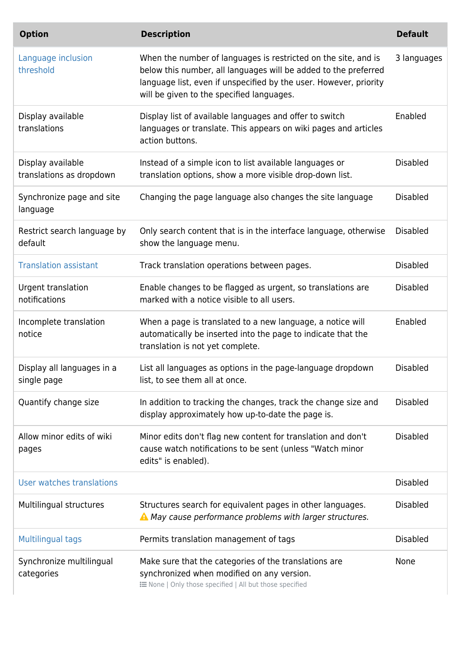| <b>Option</b>                                 | <b>Description</b>                                                                                                                                                                                                                                  | <b>Default</b>  |
|-----------------------------------------------|-----------------------------------------------------------------------------------------------------------------------------------------------------------------------------------------------------------------------------------------------------|-----------------|
| Language inclusion<br>threshold               | When the number of languages is restricted on the site, and is<br>below this number, all languages will be added to the preferred<br>language list, even if unspecified by the user. However, priority<br>will be given to the specified languages. | 3 languages     |
| Display available<br>translations             | Display list of available languages and offer to switch<br>languages or translate. This appears on wiki pages and articles<br>action buttons.                                                                                                       | Enabled         |
| Display available<br>translations as dropdown | Instead of a simple icon to list available languages or<br>translation options, show a more visible drop-down list.                                                                                                                                 | <b>Disabled</b> |
| Synchronize page and site<br>language         | Changing the page language also changes the site language                                                                                                                                                                                           | <b>Disabled</b> |
| Restrict search language by<br>default        | Only search content that is in the interface language, otherwise<br>show the language menu.                                                                                                                                                         | <b>Disabled</b> |
| <b>Translation assistant</b>                  | Track translation operations between pages.                                                                                                                                                                                                         | <b>Disabled</b> |
| Urgent translation<br>notifications           | Enable changes to be flagged as urgent, so translations are<br>marked with a notice visible to all users.                                                                                                                                           | <b>Disabled</b> |
| Incomplete translation<br>notice              | When a page is translated to a new language, a notice will<br>automatically be inserted into the page to indicate that the<br>translation is not yet complete.                                                                                      | Enabled         |
| Display all languages in a<br>single page     | List all languages as options in the page-language dropdown<br>list, to see them all at once.                                                                                                                                                       | Disabled        |
| Quantify change size                          | In addition to tracking the changes, track the change size and<br>display approximately how up-to-date the page is.                                                                                                                                 | <b>Disabled</b> |
| Allow minor edits of wiki<br>pages            | Minor edits don't flag new content for translation and don't<br>cause watch notifications to be sent (unless "Watch minor<br>edits" is enabled).                                                                                                    | <b>Disabled</b> |
| User watches translations                     |                                                                                                                                                                                                                                                     | <b>Disabled</b> |
| Multilingual structures                       | Structures search for equivalent pages in other languages.<br>A May cause performance problems with larger structures.                                                                                                                              | <b>Disabled</b> |
| <b>Multilingual tags</b>                      | Permits translation management of tags                                                                                                                                                                                                              | <b>Disabled</b> |
| Synchronize multilingual<br>categories        | Make sure that the categories of the translations are<br>synchronized when modified on any version.<br><b>IE None   Only those specified   All but those specified</b>                                                                              | None            |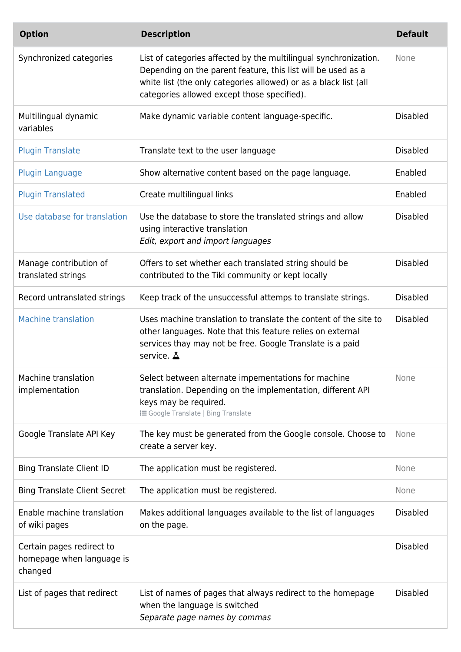| <b>Option</b>                                                     | <b>Description</b>                                                                                                                                                                                                                                  | <b>Default</b>  |
|-------------------------------------------------------------------|-----------------------------------------------------------------------------------------------------------------------------------------------------------------------------------------------------------------------------------------------------|-----------------|
| Synchronized categories                                           | List of categories affected by the multilingual synchronization.<br>Depending on the parent feature, this list will be used as a<br>white list (the only categories allowed) or as a black list (all<br>categories allowed except those specified). | None            |
| Multilingual dynamic<br>variables                                 | Make dynamic variable content language-specific.                                                                                                                                                                                                    | <b>Disabled</b> |
| <b>Plugin Translate</b>                                           | Translate text to the user language                                                                                                                                                                                                                 | <b>Disabled</b> |
| <b>Plugin Language</b>                                            | Show alternative content based on the page language.                                                                                                                                                                                                | Enabled         |
| <b>Plugin Translated</b>                                          | Create multilingual links                                                                                                                                                                                                                           | Enabled         |
| Use database for translation                                      | Use the database to store the translated strings and allow<br>using interactive translation<br>Edit, export and import languages                                                                                                                    | <b>Disabled</b> |
| Manage contribution of<br>translated strings                      | Offers to set whether each translated string should be<br>contributed to the Tiki community or kept locally                                                                                                                                         | <b>Disabled</b> |
| Record untranslated strings                                       | Keep track of the unsuccessful attemps to translate strings.                                                                                                                                                                                        | <b>Disabled</b> |
| <b>Machine translation</b>                                        | Uses machine translation to translate the content of the site to<br>other languages. Note that this feature relies on external<br>services thay may not be free. Google Translate is a paid<br>service. A                                           | <b>Disabled</b> |
| Machine translation<br>implementation                             | Select between alternate impementations for machine<br>translation. Depending on the implementation, different API<br>keys may be required.<br><b>i</b> Google Translate   Bing Translate                                                           | None            |
| Google Translate API Key                                          | The key must be generated from the Google console. Choose to<br>create a server key.                                                                                                                                                                | None            |
| <b>Bing Translate Client ID</b>                                   | The application must be registered.                                                                                                                                                                                                                 | None            |
| <b>Bing Translate Client Secret</b>                               | The application must be registered.                                                                                                                                                                                                                 | None            |
| Enable machine translation<br>of wiki pages                       | Makes additional languages available to the list of languages<br>on the page.                                                                                                                                                                       | <b>Disabled</b> |
| Certain pages redirect to<br>homepage when language is<br>changed |                                                                                                                                                                                                                                                     | <b>Disabled</b> |
| List of pages that redirect                                       | List of names of pages that always redirect to the homepage<br>when the language is switched<br>Separate page names by commas                                                                                                                       | <b>Disabled</b> |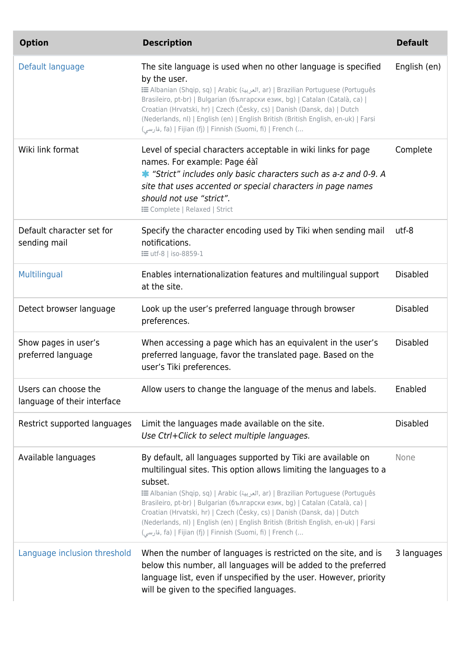| <b>Option</b>                                       | <b>Description</b>                                                                                                                                                                                                                                                                                                                                                                                                                                                                                                                              | <b>Default</b>  |
|-----------------------------------------------------|-------------------------------------------------------------------------------------------------------------------------------------------------------------------------------------------------------------------------------------------------------------------------------------------------------------------------------------------------------------------------------------------------------------------------------------------------------------------------------------------------------------------------------------------------|-----------------|
| Default language                                    | The site language is used when no other language is specified<br>by the user.<br>imerian (Shqip, sq)   Arabic (العربية, ar)   Brazilian Portuguese (Português<br>Brasileiro, pt-br)   Bulgarian (български език, bg)   Catalan (Català, ca)  <br>Croatian (Hrvatski, hr)   Czech (Česky, cs)   Danish (Dansk, da)   Dutch<br>(Nederlands, nl)   English (en)   English British (British English, en-uk)   Farsi<br>, فارسی) fa)   Fijian (fj)   Finnish (Suomi, fi)   French (                                                                  | English (en)    |
| Wiki link format                                    | Level of special characters acceptable in wiki links for page<br>names. For example: Page éàî<br>* "Strict" includes only basic characters such as a-z and 0-9. A<br>site that uses accented or special characters in page names<br>should not use "strict".<br><b>E</b> Complete   Relaxed   Strict                                                                                                                                                                                                                                            | Complete        |
| Default character set for<br>sending mail           | Specify the character encoding used by Tiki when sending mail<br>notifications.<br><b>: = utf-8   iso-8859-1</b>                                                                                                                                                                                                                                                                                                                                                                                                                                | utf-8           |
| Multilingual                                        | Enables internationalization features and multilingual support<br>at the site.                                                                                                                                                                                                                                                                                                                                                                                                                                                                  | <b>Disabled</b> |
| Detect browser language                             | Look up the user's preferred language through browser<br>preferences.                                                                                                                                                                                                                                                                                                                                                                                                                                                                           | <b>Disabled</b> |
| Show pages in user's<br>preferred language          | When accessing a page which has an equivalent in the user's<br>preferred language, favor the translated page. Based on the<br>user's Tiki preferences.                                                                                                                                                                                                                                                                                                                                                                                          | <b>Disabled</b> |
| Users can choose the<br>language of their interface | Allow users to change the language of the menus and labels.                                                                                                                                                                                                                                                                                                                                                                                                                                                                                     | Enabled         |
| Restrict supported languages                        | Limit the languages made available on the site.<br>Use Ctrl+Click to select multiple languages.                                                                                                                                                                                                                                                                                                                                                                                                                                                 | <b>Disabled</b> |
| Available languages                                 | By default, all languages supported by Tiki are available on<br>multilingual sites. This option allows limiting the languages to a<br>subset.<br>E Albanian (Shqip, sq)   Arabic (العربية, ar)   Brazilian Portuguese (Português<br>Brasileiro, pt-br)   Bulgarian (български език, bg)   Catalan (Català, ca)  <br>Croatian (Hrvatski, hr)   Czech (Česky, cs)   Danish (Dansk, da)   Dutch<br>(Nederlands, nl)   English (en)   English British (British English, en-uk)   Farsi<br>لوسی), fa)   Fijian (fj)   Finnish (Suomi, fi)   French ( | None            |
| Language inclusion threshold                        | When the number of languages is restricted on the site, and is<br>below this number, all languages will be added to the preferred<br>language list, even if unspecified by the user. However, priority<br>will be given to the specified languages.                                                                                                                                                                                                                                                                                             | 3 languages     |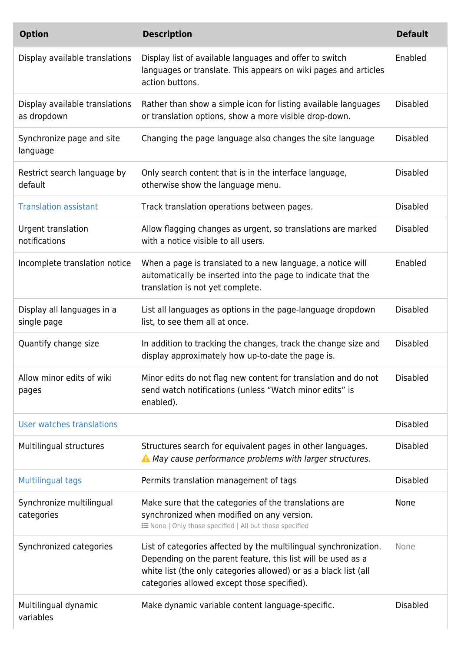| <b>Option</b>                                 | <b>Description</b>                                                                                                                                                                                                                                  | <b>Default</b>  |
|-----------------------------------------------|-----------------------------------------------------------------------------------------------------------------------------------------------------------------------------------------------------------------------------------------------------|-----------------|
| Display available translations                | Display list of available languages and offer to switch<br>languages or translate. This appears on wiki pages and articles<br>action buttons.                                                                                                       | Enabled         |
| Display available translations<br>as dropdown | Rather than show a simple icon for listing available languages<br>or translation options, show a more visible drop-down.                                                                                                                            | <b>Disabled</b> |
| Synchronize page and site<br>language         | Changing the page language also changes the site language                                                                                                                                                                                           | <b>Disabled</b> |
| Restrict search language by<br>default        | Only search content that is in the interface language,<br>otherwise show the language menu.                                                                                                                                                         | <b>Disabled</b> |
| <b>Translation assistant</b>                  | Track translation operations between pages.                                                                                                                                                                                                         | <b>Disabled</b> |
| Urgent translation<br>notifications           | Allow flagging changes as urgent, so translations are marked<br>with a notice visible to all users.                                                                                                                                                 | <b>Disabled</b> |
| Incomplete translation notice                 | When a page is translated to a new language, a notice will<br>automatically be inserted into the page to indicate that the<br>translation is not yet complete.                                                                                      | Enabled         |
| Display all languages in a<br>single page     | List all languages as options in the page-language dropdown<br>list, to see them all at once.                                                                                                                                                       | <b>Disabled</b> |
| Quantify change size                          | In addition to tracking the changes, track the change size and<br>display approximately how up-to-date the page is.                                                                                                                                 | <b>Disabled</b> |
| Allow minor edits of wiki<br>pages            | Minor edits do not flag new content for translation and do not<br>send watch notifications (unless "Watch minor edits" is<br>enabled).                                                                                                              | <b>Disabled</b> |
| User watches translations                     |                                                                                                                                                                                                                                                     | <b>Disabled</b> |
| Multilingual structures                       | Structures search for equivalent pages in other languages.<br>A May cause performance problems with larger structures.                                                                                                                              | <b>Disabled</b> |
| <b>Multilingual tags</b>                      | Permits translation management of tags                                                                                                                                                                                                              | <b>Disabled</b> |
| Synchronize multilingual<br>categories        | Make sure that the categories of the translations are<br>synchronized when modified on any version.<br>E None   Only those specified   All but those specified                                                                                      | <b>None</b>     |
| Synchronized categories                       | List of categories affected by the multilingual synchronization.<br>Depending on the parent feature, this list will be used as a<br>white list (the only categories allowed) or as a black list (all<br>categories allowed except those specified). | None            |
| Multilingual dynamic<br>variables             | Make dynamic variable content language-specific.                                                                                                                                                                                                    | <b>Disabled</b> |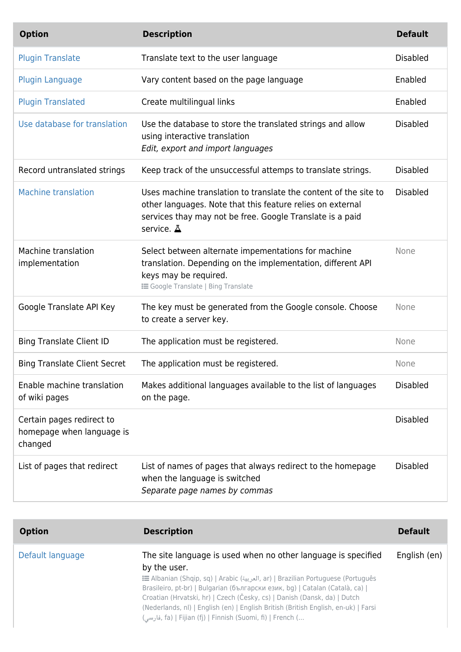| <b>Option</b>                                                     | <b>Description</b>                                                                                                                                                                                        | <b>Default</b>  |
|-------------------------------------------------------------------|-----------------------------------------------------------------------------------------------------------------------------------------------------------------------------------------------------------|-----------------|
| <b>Plugin Translate</b>                                           | Translate text to the user language                                                                                                                                                                       | <b>Disabled</b> |
| <b>Plugin Language</b>                                            | Vary content based on the page language                                                                                                                                                                   | Enabled         |
| <b>Plugin Translated</b>                                          | Create multilingual links                                                                                                                                                                                 | Enabled         |
| Use database for translation                                      | Use the database to store the translated strings and allow<br>using interactive translation<br>Edit, export and import languages                                                                          | <b>Disabled</b> |
| Record untranslated strings                                       | Keep track of the unsuccessful attemps to translate strings.                                                                                                                                              | <b>Disabled</b> |
| <b>Machine translation</b>                                        | Uses machine translation to translate the content of the site to<br>other languages. Note that this feature relies on external<br>services thay may not be free. Google Translate is a paid<br>service. A | <b>Disabled</b> |
| Machine translation<br>implementation                             | Select between alternate impementations for machine<br>translation. Depending on the implementation, different API<br>keys may be required.<br><b>IE Google Translate   Bing Translate</b>                | None            |
| Google Translate API Key                                          | The key must be generated from the Google console. Choose<br>to create a server key.                                                                                                                      | None            |
| <b>Bing Translate Client ID</b>                                   | The application must be registered.                                                                                                                                                                       | None            |
| <b>Bing Translate Client Secret</b>                               | The application must be registered.                                                                                                                                                                       | None            |
| Enable machine translation<br>of wiki pages                       | Makes additional languages available to the list of languages<br>on the page.                                                                                                                             | <b>Disabled</b> |
| Certain pages redirect to<br>homepage when language is<br>changed |                                                                                                                                                                                                           | <b>Disabled</b> |
| List of pages that redirect                                       | List of names of pages that always redirect to the homepage<br>when the language is switched<br>Separate page names by commas                                                                             | <b>Disabled</b> |

| <b>Option</b>    | <b>Description</b>                                                                                                                                                                                                                                                                                                                                                                                                                                                               | <b>Default</b> |
|------------------|----------------------------------------------------------------------------------------------------------------------------------------------------------------------------------------------------------------------------------------------------------------------------------------------------------------------------------------------------------------------------------------------------------------------------------------------------------------------------------|----------------|
| Default language | The site language is used when no other language is specified<br>by the user.<br>i Ilbanian (Shqip, sq)   Arabic (العربية, ar)   Brazilian Portuguese (Português<br>Brasileiro, pt-br)   Bulgarian (български език, bg)   Catalan (Català, ca)  <br>Croatian (Hrvatski, hr)   Czech (Česky, cs)   Danish (Dansk, da)   Dutch<br>(Nederlands, nl)   English (en)   English British (British English, en-uk)   Farsi<br>(قارسی, fa)   Fijian (fj)   Finnish (Suomi, fi)   French ( | English (en)   |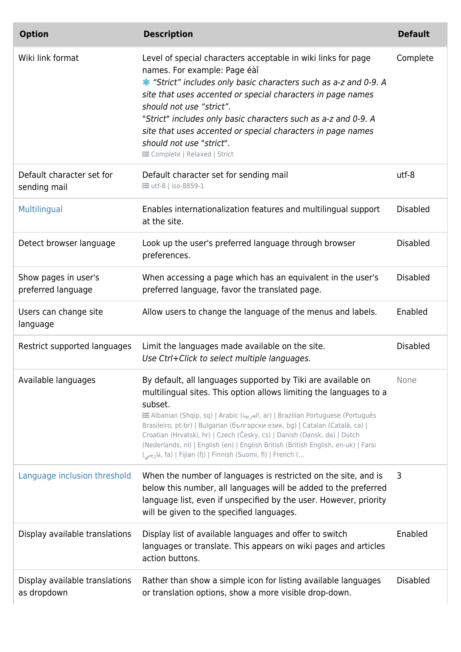| <b>Option</b>                                 | <b>Description</b>                                                                                                                                                                                                                                                                                                                                                                                                                                                                                                                                       | <b>Default</b>  |
|-----------------------------------------------|----------------------------------------------------------------------------------------------------------------------------------------------------------------------------------------------------------------------------------------------------------------------------------------------------------------------------------------------------------------------------------------------------------------------------------------------------------------------------------------------------------------------------------------------------------|-----------------|
| Wiki link format                              | Level of special characters acceptable in wiki links for page<br>names. For example: Page éàî<br>* "Strict" includes only basic characters such as a-z and 0-9. A<br>site that uses accented or special characters in page names<br>should not use "strict".<br>"Strict" includes only basic characters such as a-z and 0-9. A<br>site that uses accented or special characters in page names<br>should not use "strict".<br><b>E</b> Complete   Relaxed   Strict                                                                                        | Complete        |
| Default character set for<br>sending mail     | Default character set for sending mail<br><b>i</b> utf-8   iso-8859-1                                                                                                                                                                                                                                                                                                                                                                                                                                                                                    | utf-8           |
| Multilingual                                  | Enables internationalization features and multilingual support<br>at the site.                                                                                                                                                                                                                                                                                                                                                                                                                                                                           | <b>Disabled</b> |
| Detect browser language                       | Look up the user's preferred language through browser<br>preferences.                                                                                                                                                                                                                                                                                                                                                                                                                                                                                    | <b>Disabled</b> |
| Show pages in user's<br>preferred language    | When accessing a page which has an equivalent in the user's<br>preferred language, favor the translated page.                                                                                                                                                                                                                                                                                                                                                                                                                                            | <b>Disabled</b> |
| Users can change site<br>language             | Allow users to change the language of the menus and labels.                                                                                                                                                                                                                                                                                                                                                                                                                                                                                              | Enabled         |
| Restrict supported languages                  | Limit the languages made available on the site.<br>Use Ctrl+Click to select multiple languages.                                                                                                                                                                                                                                                                                                                                                                                                                                                          | <b>Disabled</b> |
| Available languages                           | By default, all languages supported by Tiki are available on<br>multilingual sites. This option allows limiting the languages to a<br>subset.<br>tar)   Brazilian Portuguese (Português (العربية, ar)   Brazilian Portuguese (Português<br>Brasileiro, pt-br)   Bulgarian (български език, bg)   Catalan (Català, ca)  <br>Croatian (Hrvatski, hr)   Czech (Česky, cs)   Danish (Dansk, da)   Dutch<br>(Nederlands, nl)   English (en)   English British (British English, en-uk)   Farsi<br>, فارسی) fa)   Fijian (fj)   Finnish (Suomi, fi)   French ( | None            |
| Language inclusion threshold                  | When the number of languages is restricted on the site, and is<br>below this number, all languages will be added to the preferred<br>language list, even if unspecified by the user. However, priority<br>will be given to the specified languages.                                                                                                                                                                                                                                                                                                      | 3               |
| Display available translations                | Display list of available languages and offer to switch<br>languages or translate. This appears on wiki pages and articles<br>action buttons.                                                                                                                                                                                                                                                                                                                                                                                                            | Enabled         |
| Display available translations<br>as dropdown | Rather than show a simple icon for listing available languages<br>or translation options, show a more visible drop-down.                                                                                                                                                                                                                                                                                                                                                                                                                                 | <b>Disabled</b> |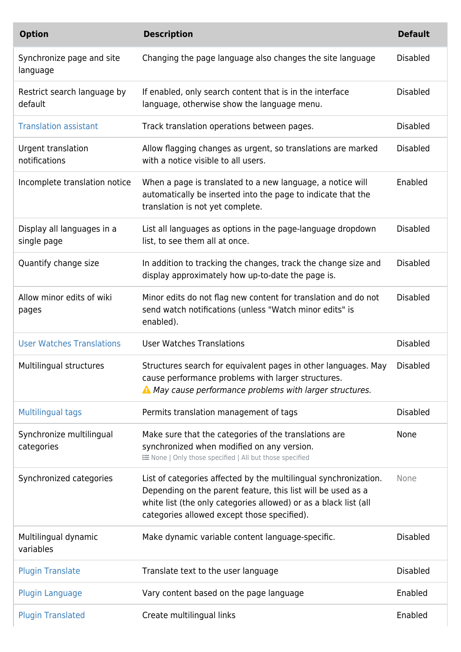| <b>Option</b>                             | <b>Description</b>                                                                                                                                                                                                                                  | <b>Default</b>  |
|-------------------------------------------|-----------------------------------------------------------------------------------------------------------------------------------------------------------------------------------------------------------------------------------------------------|-----------------|
| Synchronize page and site<br>language     | Changing the page language also changes the site language                                                                                                                                                                                           | <b>Disabled</b> |
| Restrict search language by<br>default    | If enabled, only search content that is in the interface<br>language, otherwise show the language menu.                                                                                                                                             | <b>Disabled</b> |
| <b>Translation assistant</b>              | Track translation operations between pages.                                                                                                                                                                                                         | <b>Disabled</b> |
| Urgent translation<br>notifications       | Allow flagging changes as urgent, so translations are marked<br>with a notice visible to all users.                                                                                                                                                 | <b>Disabled</b> |
| Incomplete translation notice             | When a page is translated to a new language, a notice will<br>automatically be inserted into the page to indicate that the<br>translation is not yet complete.                                                                                      | Enabled         |
| Display all languages in a<br>single page | List all languages as options in the page-language dropdown<br>list, to see them all at once.                                                                                                                                                       | <b>Disabled</b> |
| Quantify change size                      | In addition to tracking the changes, track the change size and<br>display approximately how up-to-date the page is.                                                                                                                                 | <b>Disabled</b> |
| Allow minor edits of wiki<br>pages        | Minor edits do not flag new content for translation and do not<br>send watch notifications (unless "Watch minor edits" is<br>enabled).                                                                                                              | <b>Disabled</b> |
| <b>User Watches Translations</b>          | <b>User Watches Translations</b>                                                                                                                                                                                                                    | <b>Disabled</b> |
| Multilingual structures                   | Structures search for equivalent pages in other languages. May<br>cause performance problems with larger structures.<br>A May cause performance problems with larger structures.                                                                    | <b>Disabled</b> |
| <b>Multilingual tags</b>                  | Permits translation management of tags                                                                                                                                                                                                              | <b>Disabled</b> |
| Synchronize multilingual<br>categories    | Make sure that the categories of the translations are<br>synchronized when modified on any version.<br>E None   Only those specified   All but those specified                                                                                      | None            |
| Synchronized categories                   | List of categories affected by the multilingual synchronization.<br>Depending on the parent feature, this list will be used as a<br>white list (the only categories allowed) or as a black list (all<br>categories allowed except those specified). | None            |
| Multilingual dynamic<br>variables         | Make dynamic variable content language-specific.                                                                                                                                                                                                    | <b>Disabled</b> |
| <b>Plugin Translate</b>                   | Translate text to the user language                                                                                                                                                                                                                 | <b>Disabled</b> |
| <b>Plugin Language</b>                    | Vary content based on the page language                                                                                                                                                                                                             | Enabled         |
| <b>Plugin Translated</b>                  | Create multilingual links                                                                                                                                                                                                                           | Enabled         |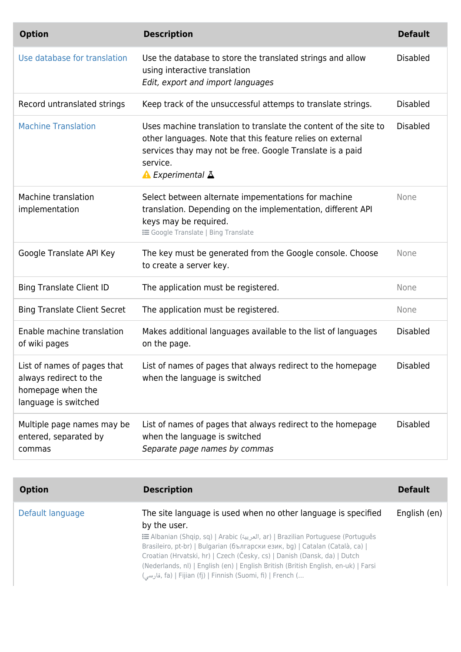| <b>Option</b>                                                                                      | <b>Description</b>                                                                                                                                                                                                                              | <b>Default</b>  |
|----------------------------------------------------------------------------------------------------|-------------------------------------------------------------------------------------------------------------------------------------------------------------------------------------------------------------------------------------------------|-----------------|
| Use database for translation                                                                       | Use the database to store the translated strings and allow<br>using interactive translation<br>Edit, export and import languages                                                                                                                | <b>Disabled</b> |
| Record untranslated strings                                                                        | Keep track of the unsuccessful attemps to translate strings.                                                                                                                                                                                    | <b>Disabled</b> |
| <b>Machine Translation</b>                                                                         | Uses machine translation to translate the content of the site to<br>other languages. Note that this feature relies on external<br>services thay may not be free. Google Translate is a paid<br>service.<br>$\triangle$ Experimental $\triangle$ | <b>Disabled</b> |
| Machine translation<br>implementation                                                              | Select between alternate impementations for machine<br>translation. Depending on the implementation, different API<br>keys may be required.<br><b>i</b> Google Translate   Bing Translate                                                       | None            |
| Google Translate API Key                                                                           | The key must be generated from the Google console. Choose<br>to create a server key.                                                                                                                                                            | None            |
| <b>Bing Translate Client ID</b>                                                                    | The application must be registered.                                                                                                                                                                                                             | None            |
| <b>Bing Translate Client Secret</b>                                                                | The application must be registered.                                                                                                                                                                                                             | None            |
| Enable machine translation<br>of wiki pages                                                        | Makes additional languages available to the list of languages<br>on the page.                                                                                                                                                                   | <b>Disabled</b> |
| List of names of pages that<br>always redirect to the<br>homepage when the<br>language is switched | List of names of pages that always redirect to the homepage<br>when the language is switched                                                                                                                                                    | <b>Disabled</b> |
| Multiple page names may be<br>entered, separated by<br>commas                                      | List of names of pages that always redirect to the homepage<br>when the language is switched<br>Separate page names by commas                                                                                                                   | <b>Disabled</b> |

| <b>Option</b>    | <b>Description</b>                                                                                                                                                                                                                                                                                                                                                                                                                                                             | <b>Default</b> |
|------------------|--------------------------------------------------------------------------------------------------------------------------------------------------------------------------------------------------------------------------------------------------------------------------------------------------------------------------------------------------------------------------------------------------------------------------------------------------------------------------------|----------------|
| Default language | The site language is used when no other language is specified<br>by the user.<br>imerian Portuguese (Português (العربية, ar)   Brazilian Portuguese (Português<br>Brasileiro, pt-br)   Bulgarian (български език, bg)   Catalan (Català, ca)  <br>Croatian (Hrvatski, hr)   Czech (Česky, cs)   Danish (Dansk, da)   Dutch<br>(Nederlands, nl)   English (en)   English British (British English, en-uk)   Farsi<br>(قارسی, fa)   Fijian (fj)   Finnish (Suomi, fi)   French ( | English (en)   |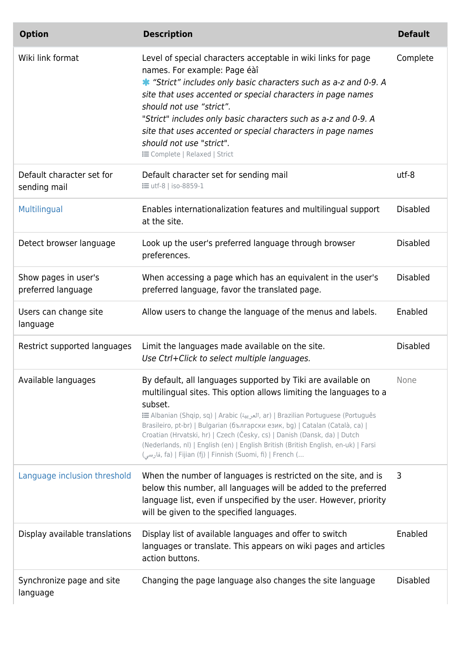| <b>Option</b>                              | <b>Description</b>                                                                                                                                                                                                                                                                                                                                                                                                                                                                                                                            | <b>Default</b>  |
|--------------------------------------------|-----------------------------------------------------------------------------------------------------------------------------------------------------------------------------------------------------------------------------------------------------------------------------------------------------------------------------------------------------------------------------------------------------------------------------------------------------------------------------------------------------------------------------------------------|-----------------|
| Wiki link format                           | Level of special characters acceptable in wiki links for page<br>names. For example: Page éàî<br>* "Strict" includes only basic characters such as a-z and 0-9. A<br>site that uses accented or special characters in page names<br>should not use "strict".<br>"Strict" includes only basic characters such as a-z and 0-9. A<br>site that uses accented or special characters in page names<br>should not use "strict".<br><b>i</b> Complete   Relaxed   Strict                                                                             | Complete        |
| Default character set for<br>sending mail  | Default character set for sending mail<br><b>: =</b> utf-8   iso-8859-1                                                                                                                                                                                                                                                                                                                                                                                                                                                                       | utf-8           |
| Multilingual                               | Enables internationalization features and multilingual support<br>at the site.                                                                                                                                                                                                                                                                                                                                                                                                                                                                | <b>Disabled</b> |
| Detect browser language                    | Look up the user's preferred language through browser<br>preferences.                                                                                                                                                                                                                                                                                                                                                                                                                                                                         | <b>Disabled</b> |
| Show pages in user's<br>preferred language | When accessing a page which has an equivalent in the user's<br>preferred language, favor the translated page.                                                                                                                                                                                                                                                                                                                                                                                                                                 | <b>Disabled</b> |
| Users can change site<br>language          | Allow users to change the language of the menus and labels.                                                                                                                                                                                                                                                                                                                                                                                                                                                                                   | Enabled         |
| Restrict supported languages               | Limit the languages made available on the site.<br>Use Ctrl+Click to select multiple languages.                                                                                                                                                                                                                                                                                                                                                                                                                                               | <b>Disabled</b> |
| Available languages                        | By default, all languages supported by Tiki are available on<br>multilingual sites. This option allows limiting the languages to a<br>subset.<br>imerian (Shqip, sq)   Arabic (العربية, ar)   Brazilian Portuguese (Português<br>Brasileiro, pt-br)   Bulgarian (български език, bg)   Catalan (Català, ca)  <br>Croatian (Hrvatski, hr)   Czech (Česky, cs)   Danish (Dansk, da)   Dutch<br>(Nederlands, nl)   English (en)   English British (British English, en-uk)   Farsi<br>(قارسى, fa)   Fijian (fj)   Finnish (Suomi, fi)   French ( | None            |
| Language inclusion threshold               | When the number of languages is restricted on the site, and is<br>below this number, all languages will be added to the preferred<br>language list, even if unspecified by the user. However, priority<br>will be given to the specified languages.                                                                                                                                                                                                                                                                                           | 3               |
| Display available translations             | Display list of available languages and offer to switch<br>languages or translate. This appears on wiki pages and articles<br>action buttons.                                                                                                                                                                                                                                                                                                                                                                                                 | Enabled         |
| Synchronize page and site<br>language      | Changing the page language also changes the site language                                                                                                                                                                                                                                                                                                                                                                                                                                                                                     | <b>Disabled</b> |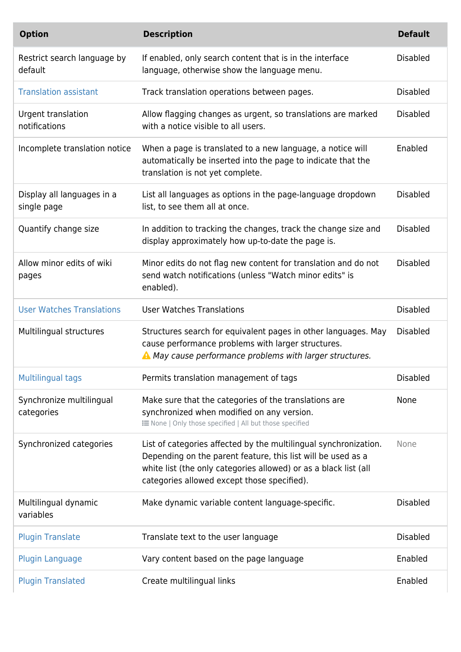| <b>Option</b>                             | <b>Description</b>                                                                                                                                                                                                                                  | <b>Default</b>  |
|-------------------------------------------|-----------------------------------------------------------------------------------------------------------------------------------------------------------------------------------------------------------------------------------------------------|-----------------|
| Restrict search language by<br>default    | If enabled, only search content that is in the interface<br>language, otherwise show the language menu.                                                                                                                                             | <b>Disabled</b> |
| <b>Translation assistant</b>              | Track translation operations between pages.                                                                                                                                                                                                         | <b>Disabled</b> |
| Urgent translation<br>notifications       | Allow flagging changes as urgent, so translations are marked<br>with a notice visible to all users.                                                                                                                                                 | <b>Disabled</b> |
| Incomplete translation notice             | When a page is translated to a new language, a notice will<br>automatically be inserted into the page to indicate that the<br>translation is not yet complete.                                                                                      | Enabled         |
| Display all languages in a<br>single page | List all languages as options in the page-language dropdown<br>list, to see them all at once.                                                                                                                                                       | <b>Disabled</b> |
| Quantify change size                      | In addition to tracking the changes, track the change size and<br>display approximately how up-to-date the page is.                                                                                                                                 | <b>Disabled</b> |
| Allow minor edits of wiki<br>pages        | Minor edits do not flag new content for translation and do not<br>send watch notifications (unless "Watch minor edits" is<br>enabled).                                                                                                              | <b>Disabled</b> |
| <b>User Watches Translations</b>          | <b>User Watches Translations</b>                                                                                                                                                                                                                    | <b>Disabled</b> |
| Multilingual structures                   | Structures search for equivalent pages in other languages. May<br>cause performance problems with larger structures.<br>A May cause performance problems with larger structures.                                                                    | <b>Disabled</b> |
| <b>Multilingual tags</b>                  | Permits translation management of tags                                                                                                                                                                                                              | <b>Disabled</b> |
| Synchronize multilingual<br>categories    | Make sure that the categories of the translations are<br>synchronized when modified on any version.<br>i None   Only those specified   All but those specified                                                                                      | None            |
| Synchronized categories                   | List of categories affected by the multilingual synchronization.<br>Depending on the parent feature, this list will be used as a<br>white list (the only categories allowed) or as a black list (all<br>categories allowed except those specified). | None            |
| Multilingual dynamic<br>variables         | Make dynamic variable content language-specific.                                                                                                                                                                                                    | <b>Disabled</b> |
| <b>Plugin Translate</b>                   | Translate text to the user language                                                                                                                                                                                                                 | <b>Disabled</b> |
| <b>Plugin Language</b>                    | Vary content based on the page language                                                                                                                                                                                                             | Enabled         |
| <b>Plugin Translated</b>                  | Create multilingual links                                                                                                                                                                                                                           | Enabled         |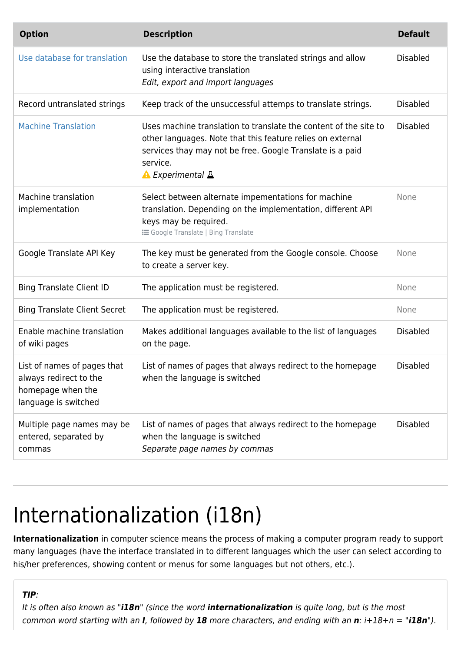| <b>Option</b>                                                                                      | <b>Description</b>                                                                                                                                                                                                          | <b>Default</b>  |
|----------------------------------------------------------------------------------------------------|-----------------------------------------------------------------------------------------------------------------------------------------------------------------------------------------------------------------------------|-----------------|
| Use database for translation                                                                       | Use the database to store the translated strings and allow<br>using interactive translation<br>Edit, export and import languages                                                                                            | <b>Disabled</b> |
| Record untranslated strings                                                                        | Keep track of the unsuccessful attemps to translate strings.                                                                                                                                                                | <b>Disabled</b> |
| <b>Machine Translation</b>                                                                         | Uses machine translation to translate the content of the site to<br>other languages. Note that this feature relies on external<br>services thay may not be free. Google Translate is a paid<br>service.<br>▲ Experimental A | <b>Disabled</b> |
| Machine translation<br>implementation                                                              | Select between alternate impementations for machine<br>translation. Depending on the implementation, different API<br>keys may be required.<br><b>i</b> Google Translate   Bing Translate                                   | None            |
| Google Translate API Key                                                                           | The key must be generated from the Google console. Choose<br>to create a server key.                                                                                                                                        | None            |
| <b>Bing Translate Client ID</b>                                                                    | The application must be registered.                                                                                                                                                                                         | None            |
| <b>Bing Translate Client Secret</b>                                                                | The application must be registered.                                                                                                                                                                                         | None            |
| Enable machine translation<br>of wiki pages                                                        | Makes additional languages available to the list of languages<br>on the page.                                                                                                                                               | <b>Disabled</b> |
| List of names of pages that<br>always redirect to the<br>homepage when the<br>language is switched | List of names of pages that always redirect to the homepage<br>when the language is switched                                                                                                                                | <b>Disabled</b> |
| Multiple page names may be<br>entered, separated by<br>commas                                      | List of names of pages that always redirect to the homepage<br>when the language is switched<br>Separate page names by commas                                                                                               | <b>Disabled</b> |

# Internationalization (i18n)

**Internationalization** in computer science means the process of making a computer program ready to support many languages (have the interface translated in to different languages which the user can select according to his/her preferences, showing content or menus for some languages but not others, etc.).

### *TIP*:

It is often also known as "*i18n*" (since the word *internationalization* is quite long, but is the most common word starting with an *I*, followed by *18* more characters, and ending with an *n*: i+18+n = "*i18n*").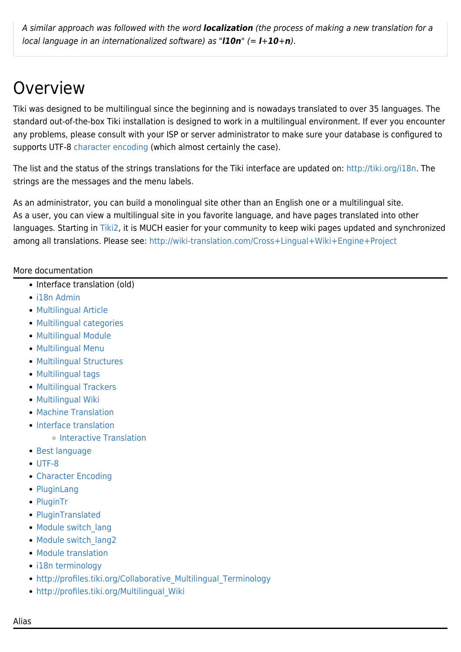A similar approach was followed with the word *localization* (the process of making a new translation for a local language in an internationalized software) as "*l10n*" (= *l*+*10*+*n*).

# Overview

Tiki was designed to be multilingual since the beginning and is nowadays translated to over 35 languages. The standard out-of-the-box Tiki installation is designed to work in a multilingual environment. If ever you encounter any problems, please consult with your ISP or server administrator to make sure your database is configured to supports UTF-8 [character encoding](https://doc.tiki.org/Character-Encoding) (which almost certainly the case).

The list and the status of the strings translations for the Tiki interface are updated on: [http://tiki.org/i18n.](http://tiki.org/i18n) The strings are the messages and the menu labels.

As an administrator, you can build a monolingual site other than an English one or a multilingual site. As a user, you can view a multilingual site in you favorite language, and have pages translated into other languages. Starting in [Tiki2,](https://doc.tiki.org/Tiki2) it is MUCH easier for your community to keep wiki pages updated and synchronized among all translations. Please see: <http://wiki-translation.com/Cross+Lingual+Wiki+Engine+Project>

#### More documentation

- [Interface translation \(old\)](https://doc.tiki.org/tiki-editpage.php?page=Interface+translation+%28old)
- [i18n Admin](https://doc.tiki.org/i18n-Admin)
- [Multilingual Article](https://doc.tiki.org/Multilingual-Article)
- [Multilingual categories](https://doc.tiki.org/Multilingual-categories)
- [Multilingual Module](https://doc.tiki.org/Multilingual-Module)
- [Multilingual Menu](https://doc.tiki.org/Multilingual-Menu)
- [Multilingual Structures](https://doc.tiki.org/Multilingual-Structures)
- [Multilingual tags](https://doc.tiki.org/Multilingual-tags)
- [Multilingual Trackers](https://doc.tiki.org/Multilingual-trackers)
- [Multilingual Wiki](https://doc.tiki.org/Multilingual-Wiki)
- [Machine Translation](https://doc.tiki.org/Machine-Translation)
- [Interface translation](https://doc.tiki.org/Interface-translation)
	- o [Interactive Translation](https://doc.tiki.org/Interactive-Translation)
- [Best language](https://doc.tiki.org/Best-language)
- [UTF-8](https://doc.tiki.org/UTF-8)
- [Character Encoding](https://doc.tiki.org/Character-Encoding)
- [PluginLang](https://doc.tiki.org/PluginLang)
- [PluginTr](https://doc.tiki.org/PluginTr)
- [PluginTranslated](https://doc.tiki.org/PluginTranslated)
- Module switch lang
- Module switch lang2
- [Module translation](https://doc.tiki.org/module-translation)
- [i18n terminology](https://doc.tiki.org/i18n-terminology)
- http://profiles.tiki.org/Collaborative Multilingual Terminology
- [http://profiles.tiki.org/Multilingual\\_Wiki](http://profiles.tiki.org/Multilingual_Wiki)